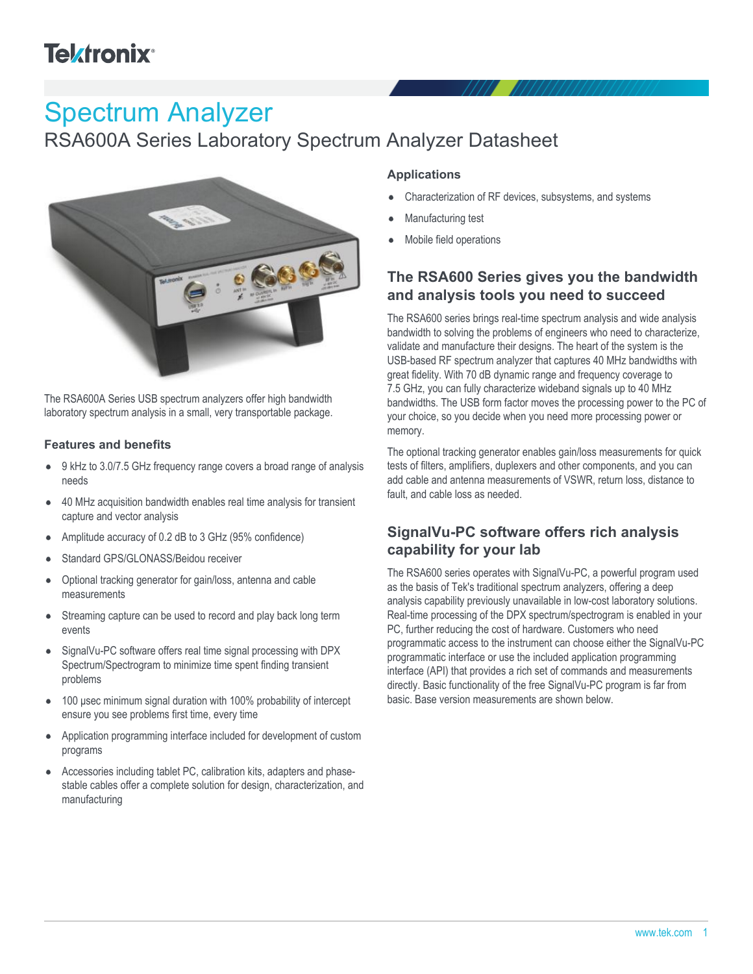# **Tektronix®**

# Spectrum Analyzer

RSA600A Series Laboratory Spectrum Analyzer Datasheet



The RSA600A Series USB spectrum analyzers offer high bandwidth laboratory spectrum analysis in a small, very transportable package.

#### **Features and benefits**

- 9 kHz to 3.0/7.5 GHz frequency range covers a broad range of analysis needs
- 40 MHz acquisition bandwidth enables real time analysis for transient  $\bullet$ capture and vector analysis
- Amplitude accuracy of 0.2 dB to 3 GHz (95% confidence)
- Standard GPS/GLONASS/Beidou receiver
- Optional tracking generator for gain/loss, antenna and cable measurements
- Streaming capture can be used to record and play back long term  $\bullet$ events
- SignalVu-PC software offers real time signal processing with DPX  $\bullet$ Spectrum/Spectrogram to minimize time spent finding transient problems
- 100 μsec minimum signal duration with 100% probability of intercept ensure you see problems first time, every time
- $\bullet$ Application programming interface included for development of custom programs
- Accessories including tablet PC, calibration kits, adapters and phase- $\bullet$ stable cables offer a complete solution for design, characterization, and manufacturing

#### **Applications**

- Characterization of RF devices, subsystems, and systems
- Manufacturing test
- Mobile field operations

# **The RSA600 Series gives you the bandwidth and analysis tools you need to succeed**

The RSA600 series brings real-time spectrum analysis and wide analysis bandwidth to solving the problems of engineers who need to characterize, validate and manufacture their designs. The heart of the system is the USB-based RF spectrum analyzer that captures 40 MHz bandwidths with great fidelity. With 70 dB dynamic range and frequency coverage to 7.5 GHz, you can fully characterize wideband signals up to 40 MHz bandwidths. The USB form factor moves the processing power to the PC of your choice, so you decide when you need more processing power or memory.

The optional tracking generator enables gain/loss measurements for quick tests of filters, amplifiers, duplexers and other components, and you can add cable and antenna measurements of VSWR, return loss, distance to fault, and cable loss as needed.

# **SignalVu-PC software offers rich analysis capability for your lab**

The RSA600 series operates with SignalVu-PC, a powerful program used as the basis of Tek's traditional spectrum analyzers, offering a deep analysis capability previously unavailable in low-cost laboratory solutions. Real-time processing of the DPX spectrum/spectrogram is enabled in your PC, further reducing the cost of hardware. Customers who need programmatic access to the instrument can choose either the SignalVu-PC programmatic interface or use the included application programming interface (API) that provides a rich set of commands and measurements directly. Basic functionality of the free SignalVu-PC program is far from basic. Base version measurements are shown below.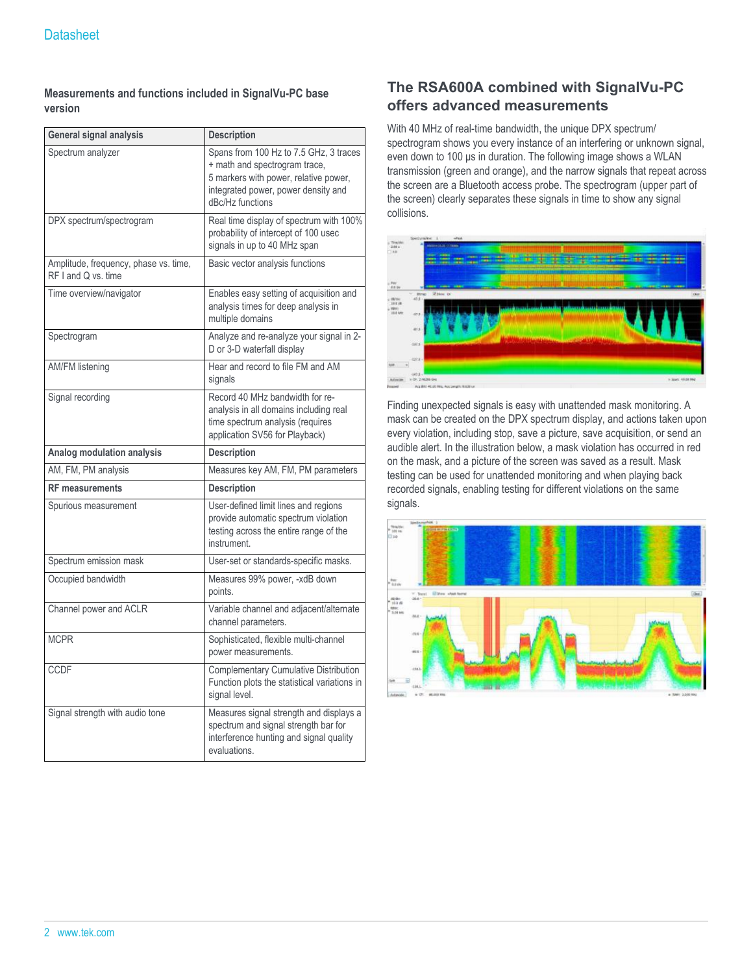#### **Measurements and functions included in SignalVu-PC base version**

| General signal analysis                                      | <b>Description</b>                                                                                                                                                          |  |  |
|--------------------------------------------------------------|-----------------------------------------------------------------------------------------------------------------------------------------------------------------------------|--|--|
| Spectrum analyzer                                            | Spans from 100 Hz to 7.5 GHz, 3 traces<br>+ math and spectrogram trace,<br>5 markers with power, relative power,<br>integrated power, power density and<br>dBc/Hz functions |  |  |
| DPX spectrum/spectrogram                                     | Real time display of spectrum with 100%<br>probability of intercept of 100 usec<br>signals in up to 40 MHz span                                                             |  |  |
| Amplitude, frequency, phase vs. time,<br>RF I and Q vs. time | Basic vector analysis functions                                                                                                                                             |  |  |
| Time overview/navigator                                      | Enables easy setting of acquisition and<br>analysis times for deep analysis in<br>multiple domains                                                                          |  |  |
| Spectrogram                                                  | Analyze and re-analyze your signal in 2-<br>D or 3-D waterfall display                                                                                                      |  |  |
| <b>AM/FM listening</b>                                       | Hear and record to file FM and AM<br>signals                                                                                                                                |  |  |
| Signal recording                                             | Record 40 MHz bandwidth for re-<br>analysis in all domains including real<br>time spectrum analysis (requires<br>application SV56 for Playback)                             |  |  |
| Analog modulation analysis                                   | <b>Description</b>                                                                                                                                                          |  |  |
| AM, FM, PM analysis                                          | Measures key AM, FM, PM parameters                                                                                                                                          |  |  |
| <b>RF</b> measurements                                       | <b>Description</b>                                                                                                                                                          |  |  |
| Spurious measurement                                         | User-defined limit lines and regions<br>provide automatic spectrum violation<br>testing across the entire range of the<br>instrument.                                       |  |  |
| Spectrum emission mask                                       | User-set or standards-specific masks.                                                                                                                                       |  |  |
| Occupied bandwidth                                           | Measures 99% power, -xdB down<br>points.                                                                                                                                    |  |  |
| Channel power and ACLR                                       | Variable channel and adjacent/alternate<br>channel parameters.                                                                                                              |  |  |
| <b>MCPR</b>                                                  | Sophisticated, flexible multi-channel<br>power measurements.                                                                                                                |  |  |
| <b>CCDF</b>                                                  | Complementary Cumulative Distribution<br>Function plots the statistical variations in<br>signal level.                                                                      |  |  |
| Signal strength with audio tone                              | Measures signal strength and displays a<br>spectrum and signal strength bar for<br>interference hunting and signal quality<br>evaluations.                                  |  |  |

# **The RSA600A combined with SignalVu-PC offers advanced measurements**

With 40 MHz of real-time bandwidth, the unique DPX spectrum/ spectrogram shows you every instance of an interfering or unknown signal, even down to 100 μs in duration. The following image shows a WLAN transmission (green and orange), and the narrow signals that repeat across the screen are a Bluetooth access probe. The spectrogram (upper part of the screen) clearly separates these signals in time to show any signal collisions.



Finding unexpected signals is easy with unattended mask monitoring. A mask can be created on the DPX spectrum display, and actions taken upon every violation, including stop, save a picture, save acquisition, or send an audible alert. In the illustration below, a mask violation has occurred in red on the mask, and a picture of the screen was saved as a result. Mask testing can be used for unattended monitoring and when playing back recorded signals, enabling testing for different violations on the same signals.

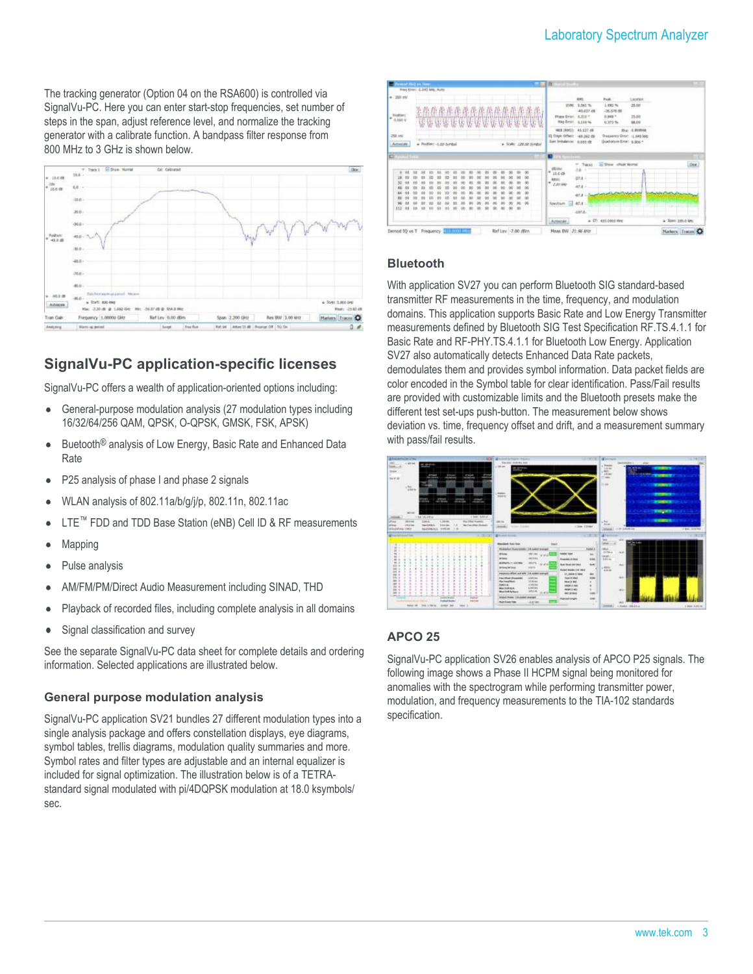The tracking generator (Option 04 on the RSA600) is controlled via SignalVu-PC. Here you can enter start-stop frequencies, set number of steps in the span, adjust reference level, and normalize the tracking generator with a calibrate function. A bandpass filter response from 800 MHz to 3 GHz is shown below.



# **SignalVu-PC application-specific licenses**

SignalVu-PC offers a wealth of application-oriented options including:

- General-purpose modulation analysis (27 modulation types including  $\bullet$ 16/32/64/256 QAM, QPSK, O-QPSK, GMSK, FSK, APSK)
- Buetooth® analysis of Low Energy, Basic Rate and Enhanced Data  $\bullet$ Rate
- P25 analysis of phase I and phase 2 signals
- WLAN analysis of 802.11a/b/g/j/p, 802.11n, 802.11ac
- LTE<sup>™</sup> FDD and TDD Base Station (eNB) Cell ID & RF measurements
- Mapping
- Pulse analysis
- AM/FM/PM/Direct Audio Measurement including SINAD, THD
- Playback of recorded files, including complete analysis in all domains
- Signal classification and survey

See the separate SignalVu-PC data sheet for complete details and ordering information. Selected applications are illustrated below.

#### **General purpose modulation analysis**

SignalVu-PC application SV21 bundles 27 different modulation types into a single analysis package and offers constellation displays, eye diagrams, symbol tables, trellis diagrams, modulation quality summaries and more. Symbol rates and filter types are adjustable and an internal equalizer is included for signal optimization. The illustration below is of a TETRAstandard signal modulated with pi/4DQPSK modulation at 18.0 ksymbols/ sec.



#### **Bluetooth**

With application SV27 you can perform Bluetooth SIG standard-based transmitter RF measurements in the time, frequency, and modulation domains. This application supports Basic Rate and Low Energy Transmitter measurements defined by Bluetooth SIG Test Specification RF.TS.4.1.1 for Basic Rate and RF-PHY.TS.4.1.1 for Bluetooth Low Energy. Application SV27 also automatically detects Enhanced Data Rate packets, demodulates them and provides symbol information. Data packet fields are color encoded in the Symbol table for clear identification. Pass/Fail results are provided with customizable limits and the Bluetooth presets make the different test set-ups push-button. The measurement below shows deviation vs. time, frequency offset and drift, and a measurement summary with pass/fail results.



#### **APCO 25**

SignalVu-PC application SV26 enables analysis of APCO P25 signals. The following image shows a Phase II HCPM signal being monitored for anomalies with the spectrogram while performing transmitter power, modulation, and frequency measurements to the TIA-102 standards specification.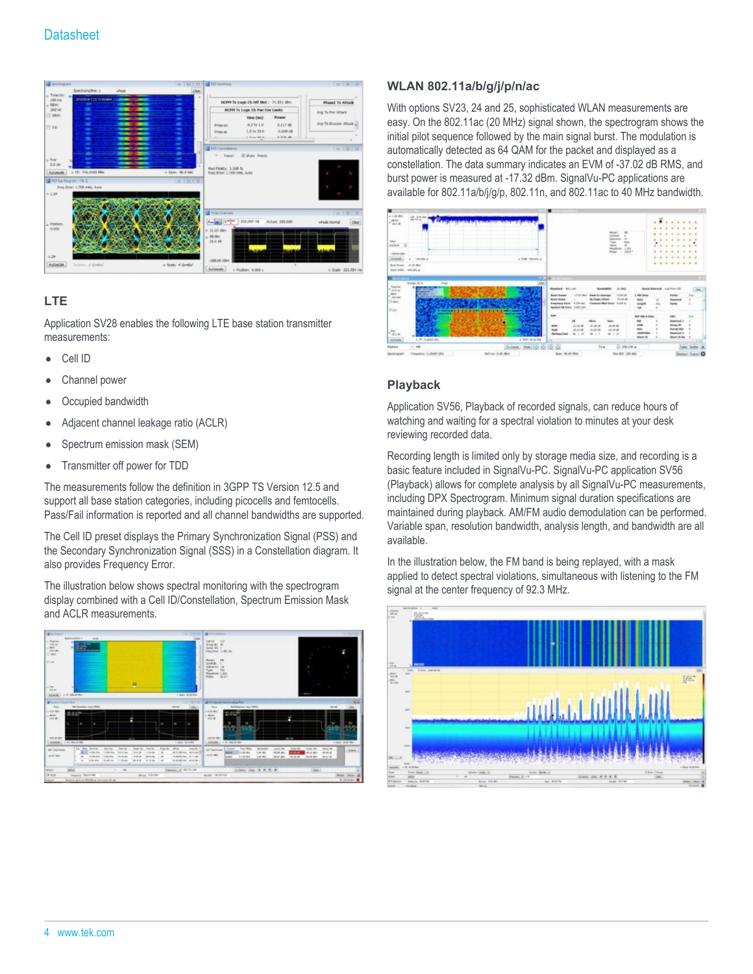

#### **LTE**

Application SV28 enables the following LTE base station transmitter measurements:

- Cell ID
- Channel power
- Occupied bandwidth
- Adjacent channel leakage ratio (ACLR)
- Spectrum emission mask (SEM)
- Transmitter off power for TDD  $\bullet$

The measurements follow the definition in 3GPP TS Version 12.5 and support all base station categories, including picocells and femtocells. Pass/Fail information is reported and all channel bandwidths are supported.

The Cell ID preset displays the Primary Synchronization Signal (PSS) and the Secondary Synchronization Signal (SSS) in a Constellation diagram. It also provides Frequency Error.

The illustration below shows spectral monitoring with the spectrogram display combined with a Cell ID/Constellation, Spectrum Emission Mask and ACLR measurements.



#### **WLAN 802.11a/b/g/j/p/n/ac**

With options SV23, 24 and 25, sophisticated WLAN measurements are easy. On the 802.11ac (20 MHz) signal shown, the spectrogram shows the initial pilot sequence followed by the main signal burst. The modulation is automatically detected as 64 QAM for the packet and displayed as a constellation. The data summary indicates an EVM of -37.02 dB RMS, and burst power is measured at -17.32 dBm. SignalVu-PC applications are available for 802.11a/b/j/g/p, 802.11n, and 802.11ac to 40 MHz bandwidth.



#### **Playback**

Application SV56, Playback of recorded signals, can reduce hours of watching and waiting for a spectral violation to minutes at your desk reviewing recorded data.

Recording length is limited only by storage media size, and recording is a basic feature included in SignalVu-PC. SignalVu-PC application SV56 (Playback) allows for complete analysis by all SignalVu-PC measurements, including DPX Spectrogram. Minimum signal duration specifications are maintained during playback. AM/FM audio demodulation can be performed. Variable span, resolution bandwidth, analysis length, and bandwidth are all available.

In the illustration below, the FM band is being replayed, with a mask applied to detect spectral violations, simultaneous with listening to the FM signal at the center frequency of 92.3 MHz.

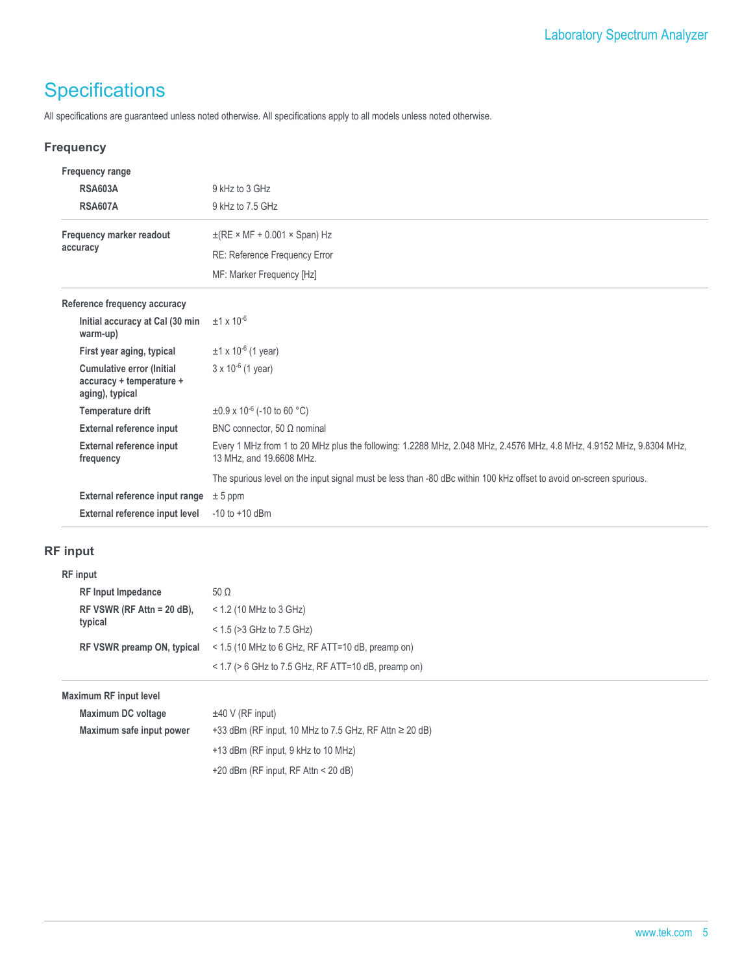# **Specifications**

All specifications are guaranteed unless noted otherwise. All specifications apply to all models unless noted otherwise.

#### **Frequency**

| <b>Frequency range</b>                                                          |                                                                                                                                                  |
|---------------------------------------------------------------------------------|--------------------------------------------------------------------------------------------------------------------------------------------------|
| <b>RSA603A</b>                                                                  | 9 kHz to 3 GHz                                                                                                                                   |
| <b>RSA607A</b>                                                                  | 9 kHz to 7.5 GHz                                                                                                                                 |
| Frequency marker readout                                                        | $\pm$ (RE × MF + 0.001 × Span) Hz                                                                                                                |
| accuracy                                                                        | RE: Reference Frequency Error                                                                                                                    |
|                                                                                 | MF: Marker Frequency [Hz]                                                                                                                        |
| Reference frequency accuracy                                                    |                                                                                                                                                  |
| Initial accuracy at Cal (30 min<br>warm-up)                                     | $±1 \times 10^{-6}$                                                                                                                              |
| First year aging, typical                                                       | $±1 \times 10^{-6}$ (1 year)                                                                                                                     |
| <b>Cumulative error (Initial</b><br>accuracy + temperature +<br>aging), typical | $3 \times 10^{-6}$ (1 year)                                                                                                                      |
| Temperature drift                                                               | $\pm 0.9 \times 10^{-6}$ (-10 to 60 °C)                                                                                                          |
| <b>External reference input</b>                                                 | BNC connector, 50 $\Omega$ nominal                                                                                                               |
| <b>External reference input</b><br>frequency                                    | Every 1 MHz from 1 to 20 MHz plus the following: 1.2288 MHz, 2.048 MHz, 2.4576 MHz, 4.8 MHz, 4.9152 MHz, 9.8304 MHz,<br>13 MHz, and 19.6608 MHz. |
|                                                                                 | The spurious level on the input signal must be less than -80 dBc within 100 kHz offset to avoid on-screen spurious.                              |
| External reference input range                                                  | $± 5$ ppm                                                                                                                                        |
| External reference input level                                                  | $-10$ to $+10$ dBm                                                                                                                               |

## **RF input**

| <b>RF</b> input              |                                                          |
|------------------------------|----------------------------------------------------------|
| <b>RF Input Impedance</b>    | 50 $\Omega$                                              |
| RF VSWR (RF Attn = $20$ dB), | $<$ 1.2 (10 MHz to 3 GHz)                                |
| typical                      | $<$ 1.5 ( $>$ 3 GHz to 7.5 GHz)                          |
| RF VSWR preamp ON, typical   | < 1.5 (10 MHz to 6 GHz, RF ATT=10 dB, preamp on)         |
|                              | $<$ 1.7 ( $>$ 6 GHz to 7.5 GHz, RF ATT=10 dB, preamp on) |
|                              |                                                          |

#### **Maximum RF input level**

| Maximum DC voltage       | $±40$ V (RF input)                                            |
|--------------------------|---------------------------------------------------------------|
| Maximum safe input power | $+33$ dBm (RF input, 10 MHz to 7.5 GHz, RF Attn $\geq 20$ dB) |
|                          | $+13$ dBm (RF input, 9 kHz to 10 MHz)                         |
|                          | $+20$ dBm (RF input, RF Attn < 20 dB)                         |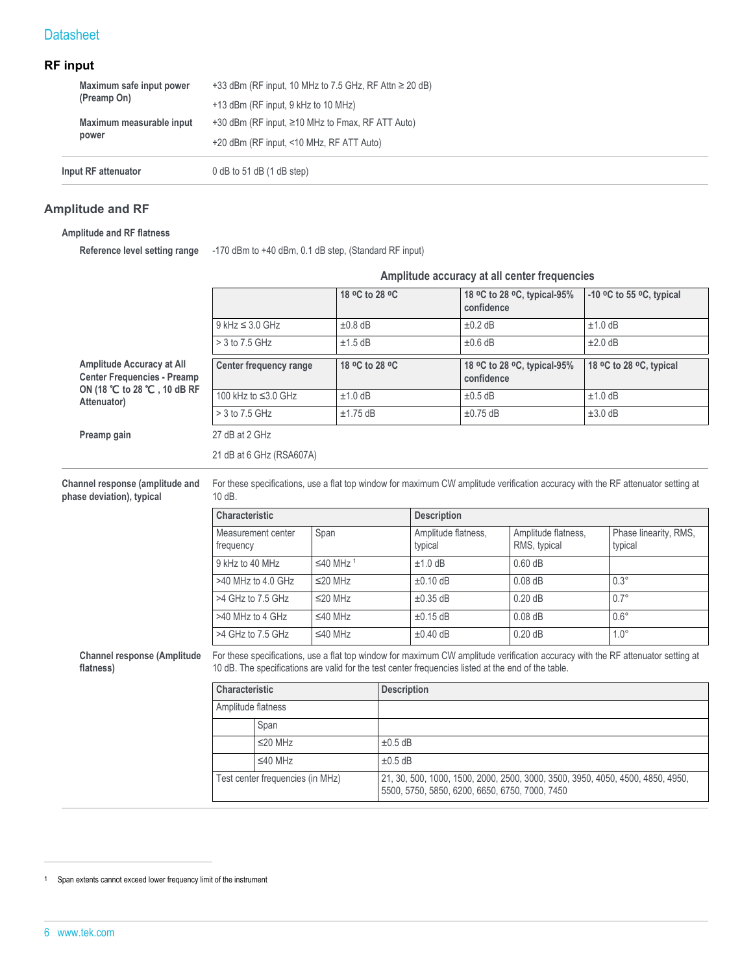#### **RF input**

| Input RF attenuator      | $0$ dB to 51 dB $(1$ dB step)                                 |
|--------------------------|---------------------------------------------------------------|
| power                    | +20 dBm (RF input, <10 MHz, RF ATT Auto)                      |
| Maximum measurable input | $+30$ dBm (RF input, $\geq 10$ MHz to Fmax, RF ATT Auto)      |
| (Preamp On)              | $+13$ dBm (RF input, 9 kHz to 10 MHz)                         |
| Maximum safe input power | $+33$ dBm (RF input, 10 MHz to 7.5 GHz, RF Attn $\geq 20$ dB) |

#### **Amplitude and RF**

#### **Amplitude and RF flatness**

**Reference level setting range** -170 dBm to +40 dBm, 0.1 dB step, (Standard RF input)

|                                                                        |                                                                                                     |                      |                                                                                                                                  |                                |                                           | Amplitude accuracy at all center frequencies |                         |                                                                                                                                  |
|------------------------------------------------------------------------|-----------------------------------------------------------------------------------------------------|----------------------|----------------------------------------------------------------------------------------------------------------------------------|--------------------------------|-------------------------------------------|----------------------------------------------|-------------------------|----------------------------------------------------------------------------------------------------------------------------------|
|                                                                        |                                                                                                     | 18 °C to 28 °C       |                                                                                                                                  |                                | confidence                                | 18 °C to 28 °C, typical-95%                  |                         | -10 $^{\circ}$ C to 55 $^{\circ}$ C, typical                                                                                     |
|                                                                        | $9$ kHz $\leq 3.0$ GHz                                                                              | $±0.8$ dB            |                                                                                                                                  |                                | $±0.2$ dB                                 |                                              | $±1.0$ dB               |                                                                                                                                  |
|                                                                        | > 3 to 7.5 GHz                                                                                      | $±1.5$ dB            |                                                                                                                                  |                                | $±0.6$ dB                                 |                                              | $±2.0$ dB               |                                                                                                                                  |
| <b>Amplitude Accuracy at All</b><br><b>Center Frequencies - Preamp</b> | Center frequency range                                                                              |                      | 18 °C to 28 °C                                                                                                                   |                                | 18 °C to 28 °C, typical-95%<br>confidence |                                              | 18 °C to 28 °C, typical |                                                                                                                                  |
| ON (18 ℃ to 28 ℃, 10 dB RF<br>Attenuator)                              | 100 kHz to ≤3.0 GHz                                                                                 | $±1.0$ dB            |                                                                                                                                  |                                | $±0.5$ dB                                 |                                              | $±1.0$ dB               |                                                                                                                                  |
|                                                                        | > 3 to 7.5 GHz                                                                                      | $±1.75$ dB           |                                                                                                                                  |                                | $±0.75$ dB                                |                                              | $±3.0$ dB               |                                                                                                                                  |
| Preamp gain                                                            | 27 dB at 2 GHz                                                                                      |                      |                                                                                                                                  |                                |                                           |                                              |                         |                                                                                                                                  |
|                                                                        | 21 dB at 6 GHz (RSA607A)                                                                            |                      |                                                                                                                                  |                                |                                           |                                              |                         |                                                                                                                                  |
| Channel response (amplitude and<br>phase deviation), typical           | $10dB$ .                                                                                            |                      |                                                                                                                                  |                                |                                           |                                              |                         | For these specifications, use a flat top window for maximum CW amplitude verification accuracy with the RF attenuator setting at |
|                                                                        | Characteristic                                                                                      |                      |                                                                                                                                  | <b>Description</b>             |                                           |                                              |                         |                                                                                                                                  |
|                                                                        | Measurement center<br>frequency                                                                     | Span                 |                                                                                                                                  | Amplitude flatness,<br>typical |                                           | Amplitude flatness,<br>RMS, typical          |                         | Phase linearity, RMS,<br>typical                                                                                                 |
|                                                                        | 9 kHz to 40 MHz                                                                                     | ≤40 MHz <sup>1</sup> |                                                                                                                                  | $±1.0$ dB                      |                                           | $0.60$ dB                                    |                         |                                                                                                                                  |
|                                                                        | >40 MHz to 4.0 GHz                                                                                  | $\leq$ 20 MHz        |                                                                                                                                  | $±0.10$ dB                     |                                           | $0.08$ dB                                    |                         | $0.3^\circ$                                                                                                                      |
|                                                                        | >4 GHz to 7.5 GHz                                                                                   | $\leq$ 20 MHz        |                                                                                                                                  | $\pm 0.35$ dB                  |                                           | 0.20dB                                       |                         | $0.7^\circ$                                                                                                                      |
|                                                                        | >40 MHz to 4 GHz                                                                                    | $\leq 40$ MHz        |                                                                                                                                  | $±0.15$ dB                     |                                           | $0.08$ dB                                    |                         | $0.6^\circ$                                                                                                                      |
|                                                                        | >4 GHz to 7.5 GHz                                                                                   | $\leq 40$ MHz        |                                                                                                                                  | $±0.40$ dB                     |                                           | 0.20dB                                       |                         | $1.0^\circ$                                                                                                                      |
| <b>Channel response (Amplitude</b><br>flatness)                        | 10 dB. The specifications are valid for the test center frequencies listed at the end of the table. |                      |                                                                                                                                  |                                |                                           |                                              |                         | For these specifications, use a flat top window for maximum CW amplitude verification accuracy with the RF attenuator setting at |
|                                                                        | Characteristic<br><b>Description</b>                                                                |                      |                                                                                                                                  |                                |                                           |                                              |                         |                                                                                                                                  |
|                                                                        | Amplitude flatness                                                                                  |                      |                                                                                                                                  |                                |                                           |                                              |                         |                                                                                                                                  |
|                                                                        | Span                                                                                                |                      |                                                                                                                                  |                                |                                           |                                              |                         |                                                                                                                                  |
|                                                                        | $\leq$ 20 MHz                                                                                       |                      | $±0.5$ dB                                                                                                                        |                                |                                           |                                              |                         |                                                                                                                                  |
|                                                                        | $\leq 40$ MHz                                                                                       |                      |                                                                                                                                  | $\pm 0.5$ dB                   |                                           |                                              |                         |                                                                                                                                  |
|                                                                        | Test center frequencies (in MHz)                                                                    |                      | 21, 30, 500, 1000, 1500, 2000, 2500, 3000, 3500, 3950, 4050, 4500, 4850, 4950,<br>5500, 5750, 5850, 6200, 6650, 6750, 7000, 7450 |                                |                                           |                                              |                         |                                                                                                                                  |

 $\lfloor$ 

<sup>1</sup> Span extents cannot exceed lower frequency limit of the instrument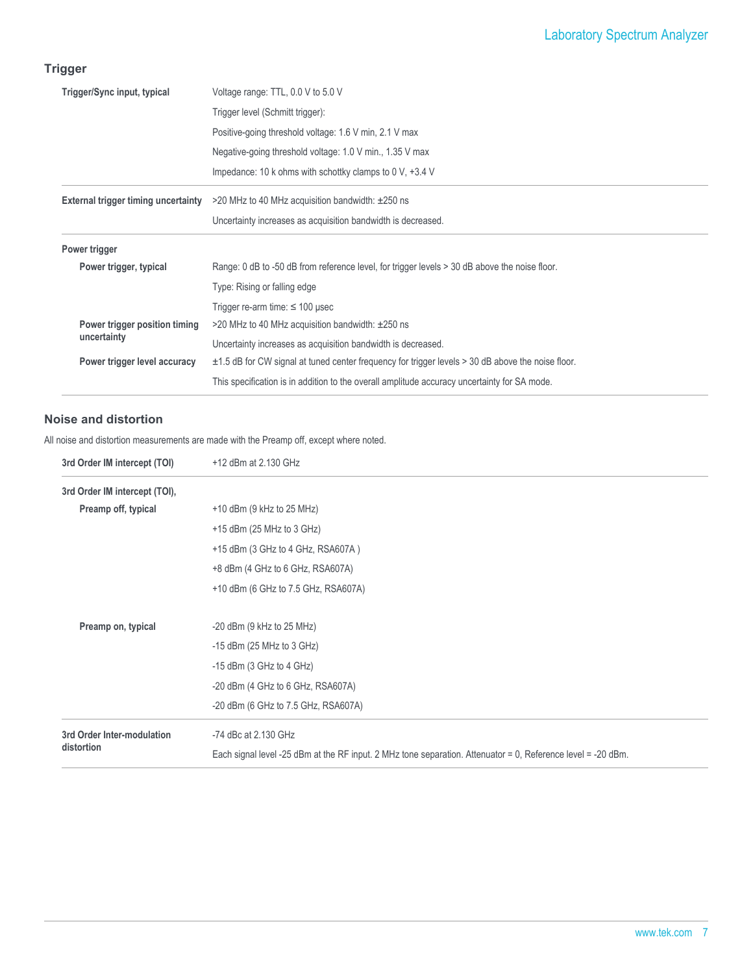# **Trigger**

| Trigger/Sync input, typical                | Voltage range: TTL, 0.0 V to 5.0 V                                                                     |
|--------------------------------------------|--------------------------------------------------------------------------------------------------------|
|                                            | Trigger level (Schmitt trigger):                                                                       |
|                                            | Positive-going threshold voltage: 1.6 V min, 2.1 V max                                                 |
|                                            | Negative-going threshold voltage: 1.0 V min., 1.35 V max                                               |
|                                            | Impedance: 10 k ohms with schottky clamps to 0 V, $+3.4$ V                                             |
| <b>External trigger timing uncertainty</b> | $>$ 20 MHz to 40 MHz acquisition bandwidth: $\pm$ 250 ns                                               |
|                                            | Uncertainty increases as acquisition bandwidth is decreased.                                           |
|                                            |                                                                                                        |
| Power trigger                              |                                                                                                        |
| Power trigger, typical                     | Range: 0 dB to -50 dB from reference level, for trigger levels > 30 dB above the noise floor.          |
|                                            | Type: Rising or falling edge                                                                           |
|                                            | Trigger re-arm time: $\leq$ 100 µsec                                                                   |
| Power trigger position timing              | $>$ 20 MHz to 40 MHz acquisition bandwidth: $\pm$ 250 ns                                               |
| uncertainty                                | Uncertainty increases as acquisition bandwidth is decreased.                                           |
| Power trigger level accuracy               | $\pm$ 1.5 dB for CW signal at tuned center frequency for trigger levels > 30 dB above the noise floor. |

#### **Noise and distortion**

All noise and distortion measurements are made with the Preamp off, except where noted.

| 3rd Order IM intercept (TOI)  | +12 dBm at 2.130 GHz                                                                                         |
|-------------------------------|--------------------------------------------------------------------------------------------------------------|
| 3rd Order IM intercept (TOI), |                                                                                                              |
| Preamp off, typical           | $+10$ dBm (9 kHz to 25 MHz)                                                                                  |
|                               | $+15$ dBm (25 MHz to 3 GHz)                                                                                  |
|                               | +15 dBm (3 GHz to 4 GHz, RSA607A)                                                                            |
|                               | +8 dBm (4 GHz to 6 GHz, RSA607A)                                                                             |
|                               | +10 dBm (6 GHz to 7.5 GHz, RSA607A)                                                                          |
| Preamp on, typical            | $-20$ dBm (9 kHz to 25 MHz)                                                                                  |
|                               | $-15$ dBm (25 MHz to 3 GHz)                                                                                  |
|                               | $-15$ dBm (3 GHz to 4 GHz)                                                                                   |
|                               | $-20$ dBm (4 GHz to 6 GHz, RSA607A)                                                                          |
|                               | -20 dBm (6 GHz to 7.5 GHz, RSA607A)                                                                          |
| 3rd Order Inter-modulation    | -74 dBc at 2.130 GHz                                                                                         |
| distortion                    | Each signal level -25 dBm at the RF input. 2 MHz tone separation. Attenuator = 0, Reference level = -20 dBm. |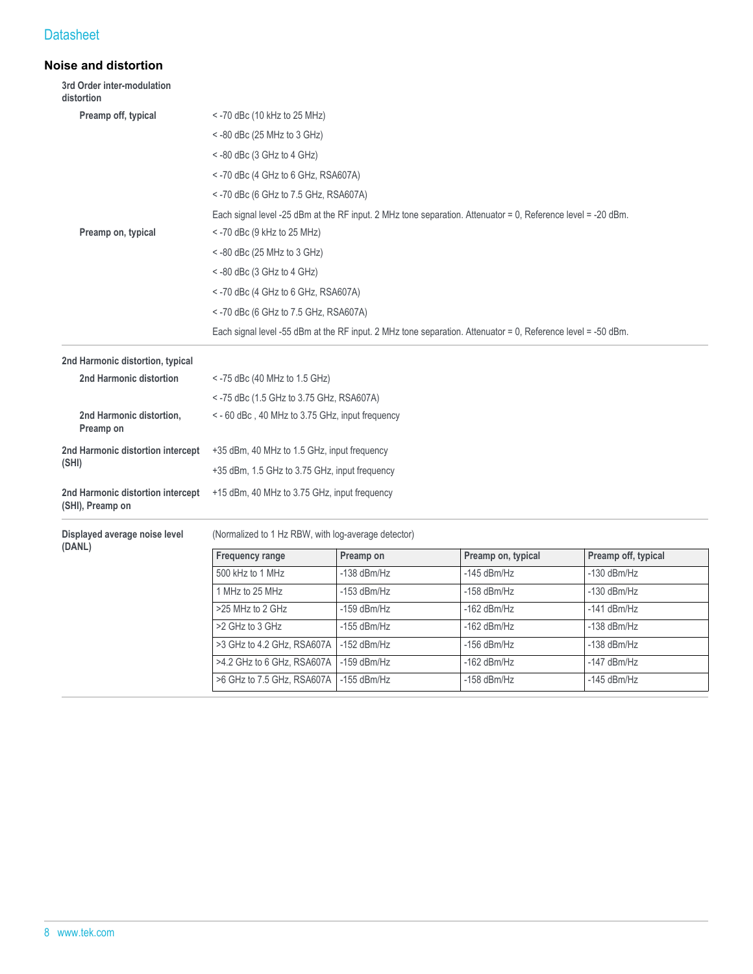#### **Noise and distortion**

| 3rd Order inter-modulation<br>distortion              |                                                     |               |                                                                                                              |                     |  |  |
|-------------------------------------------------------|-----------------------------------------------------|---------------|--------------------------------------------------------------------------------------------------------------|---------------------|--|--|
| Preamp off, typical                                   | $<$ -70 dBc (10 kHz to 25 MHz)                      |               |                                                                                                              |                     |  |  |
|                                                       | $<$ -80 dBc (25 MHz to 3 GHz)                       |               |                                                                                                              |                     |  |  |
|                                                       | $<$ -80 dBc (3 GHz to 4 GHz)                        |               |                                                                                                              |                     |  |  |
|                                                       | $<$ -70 dBc (4 GHz to 6 GHz, RSA607A)               |               |                                                                                                              |                     |  |  |
|                                                       | <- 70 dBc (6 GHz to 7.5 GHz, RSA607A)               |               |                                                                                                              |                     |  |  |
|                                                       |                                                     |               | Each signal level -25 dBm at the RF input. 2 MHz tone separation. Attenuator = 0, Reference level = -20 dBm. |                     |  |  |
| Preamp on, typical                                    | <- 70 dBc (9 kHz to 25 MHz)                         |               |                                                                                                              |                     |  |  |
|                                                       | $<$ -80 dBc (25 MHz to 3 GHz)                       |               |                                                                                                              |                     |  |  |
|                                                       | $\le$ -80 dBc (3 GHz to 4 GHz)                      |               |                                                                                                              |                     |  |  |
|                                                       | $<$ -70 dBc (4 GHz to 6 GHz, RSA607A)               |               |                                                                                                              |                     |  |  |
|                                                       | $<$ -70 dBc (6 GHz to 7.5 GHz, RSA607A)             |               |                                                                                                              |                     |  |  |
|                                                       |                                                     |               | Each signal level -55 dBm at the RF input. 2 MHz tone separation. Attenuator = 0, Reference level = -50 dBm. |                     |  |  |
| 2nd Harmonic distortion, typical                      |                                                     |               |                                                                                                              |                     |  |  |
| 2nd Harmonic distortion                               | $<$ -75 dBc (40 MHz to 1.5 GHz)                     |               |                                                                                                              |                     |  |  |
|                                                       | <- 75 dBc (1.5 GHz to 3.75 GHz, RSA607A)            |               |                                                                                                              |                     |  |  |
| 2nd Harmonic distortion,<br>Preamp on                 | <- 60 dBc, 40 MHz to 3.75 GHz, input frequency      |               |                                                                                                              |                     |  |  |
| 2nd Harmonic distortion intercept                     | +35 dBm, 40 MHz to 1.5 GHz, input frequency         |               |                                                                                                              |                     |  |  |
| (SHI)                                                 | +35 dBm, 1.5 GHz to 3.75 GHz, input frequency       |               |                                                                                                              |                     |  |  |
| 2nd Harmonic distortion intercept<br>(SHI), Preamp on | +15 dBm, 40 MHz to 3.75 GHz, input frequency        |               |                                                                                                              |                     |  |  |
| Displayed average noise level<br>(DANL)               | (Normalized to 1 Hz RBW, with log-average detector) |               |                                                                                                              |                     |  |  |
|                                                       | <b>Frequency range</b>                              | Preamp on     | Preamp on, typical                                                                                           | Preamp off, typical |  |  |
|                                                       | 500 kHz to 1 MHz                                    | $-138$ dBm/Hz | $-145$ dBm/Hz                                                                                                | $-130$ dBm/Hz       |  |  |
|                                                       | 1 MHz to 25 MHz                                     | $-153$ dBm/Hz | $-158$ dBm/Hz                                                                                                | $-130$ dBm/Hz       |  |  |
|                                                       | >25 MHz to 2 GHz                                    | $-159$ dBm/Hz | $-162$ dBm/Hz                                                                                                | $-141$ dBm/Hz       |  |  |
|                                                       | >2 GHz to 3 GHz                                     | $-155$ dBm/Hz | $-162$ dBm/Hz                                                                                                | $-138$ dBm/Hz       |  |  |
|                                                       | >3 GHz to 4.2 GHz, RSA607A                          | $-152$ dBm/Hz | $-156$ dBm/Hz                                                                                                | $-138$ dBm/Hz       |  |  |
|                                                       | >4.2 GHz to 6 GHz, RSA607A                          | $-159$ dBm/Hz | $-162$ dBm/Hz                                                                                                | $-147$ dBm/Hz       |  |  |
|                                                       | >6 GHz to 7.5 GHz, RSA607A                          | $-155$ dBm/Hz | -158 dBm/Hz                                                                                                  | $-145$ dBm/Hz       |  |  |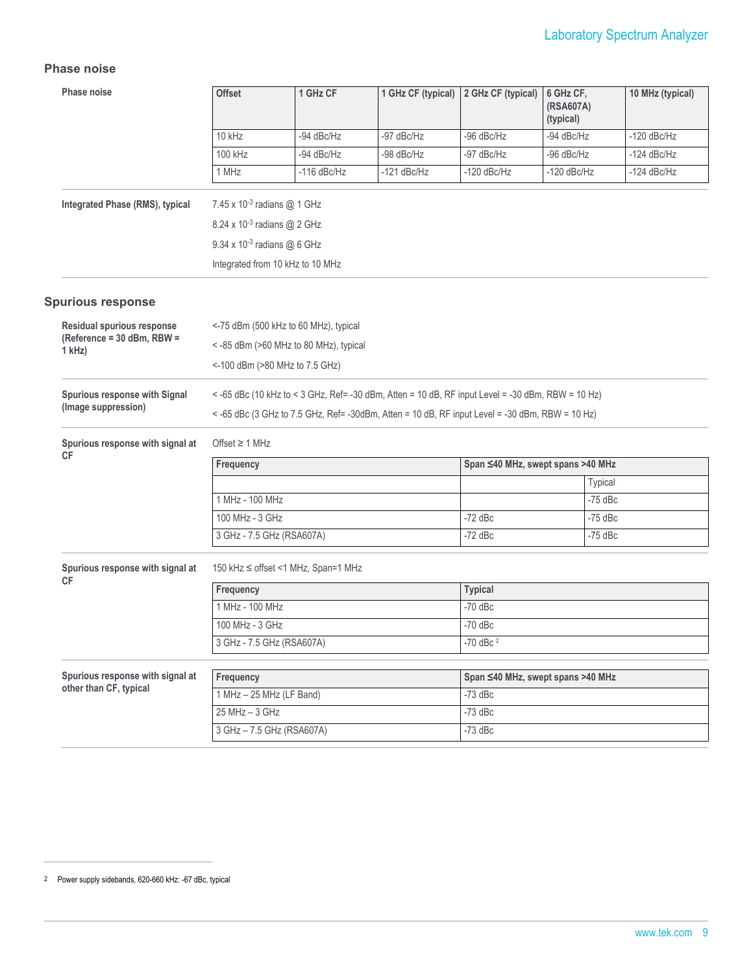#### **Phase noise**

| Phase noise                                   | <b>Offset</b>                                                                                    | 1 GHz CF                              | 1 GHz CF (typical) | 2 GHz CF (typical)                | 6 GHz CF,<br>(RSA607A)<br>(typical) | 10 MHz (typical) |  |  |
|-----------------------------------------------|--------------------------------------------------------------------------------------------------|---------------------------------------|--------------------|-----------------------------------|-------------------------------------|------------------|--|--|
|                                               | 10 kHz                                                                                           | -94 dBc/Hz                            | -97 dBc/Hz         | -96 dBc/Hz                        | -94 dBc/Hz                          | $-120$ dBc/Hz    |  |  |
|                                               | 100 kHz                                                                                          | -94 dBc/Hz                            | -98 dBc/Hz         | -97 dBc/Hz                        | -96 dBc/Hz                          | $-124$ dBc/Hz    |  |  |
|                                               | 1 MHz                                                                                            | $-116$ dBc/Hz                         | $-121$ dBc/Hz      | $-120$ dBc/Hz                     | $-120$ dBc/Hz                       | $-124$ dBc/Hz    |  |  |
| Integrated Phase (RMS), typical               | 7.45 x 10 <sup>-3</sup> radians @ 1 GHz                                                          |                                       |                    |                                   |                                     |                  |  |  |
|                                               | 8.24 x 10 <sup>-3</sup> radians @ 2 GHz                                                          |                                       |                    |                                   |                                     |                  |  |  |
|                                               | 9.34 x 10-3 radians @ 6 GHz                                                                      |                                       |                    |                                   |                                     |                  |  |  |
|                                               | Integrated from 10 kHz to 10 MHz                                                                 |                                       |                    |                                   |                                     |                  |  |  |
| <b>Spurious response</b>                      |                                                                                                  |                                       |                    |                                   |                                     |                  |  |  |
| Residual spurious response                    |                                                                                                  | <-75 dBm (500 kHz to 60 MHz), typical |                    |                                   |                                     |                  |  |  |
| (Reference = 30 dBm, RBW =<br>$1$ kHz)        |                                                                                                  | <-85 dBm (>60 MHz to 80 MHz), typical |                    |                                   |                                     |                  |  |  |
|                                               |                                                                                                  | <-100 dBm (>80 MHz to 7.5 GHz)        |                    |                                   |                                     |                  |  |  |
| Spurious response with Signal                 | <-65 dBc (10 kHz to < 3 GHz, Ref= -30 dBm, Atten = 10 dB, RF input Level = -30 dBm, RBW = 10 Hz) |                                       |                    |                                   |                                     |                  |  |  |
| (Image suppression)                           | <-65 dBc (3 GHz to 7.5 GHz, Ref= -30dBm, Atten = 10 dB, RF input Level = -30 dBm, RBW = 10 Hz)   |                                       |                    |                                   |                                     |                  |  |  |
| Spurious response with signal at<br>СF        | Offset $\geq 1$ MHz                                                                              |                                       |                    |                                   |                                     |                  |  |  |
|                                               | Frequency                                                                                        |                                       |                    | Span ≤40 MHz, swept spans >40 MHz |                                     |                  |  |  |
|                                               |                                                                                                  |                                       |                    |                                   | <b>Typical</b>                      |                  |  |  |
|                                               | 1 MHz - 100 MHz                                                                                  |                                       |                    |                                   | $-75$ dBc                           |                  |  |  |
|                                               | 100 MHz - 3 GHz                                                                                  |                                       |                    | $-72$ dBc                         | $-75$ dBc                           |                  |  |  |
|                                               | 3 GHz - 7.5 GHz (RSA607A)<br>$-72$ dBc<br>$-75$ dBc                                              |                                       |                    |                                   |                                     |                  |  |  |
| Spurious response with signal at<br><b>CF</b> |                                                                                                  | 150 kHz ≤ offset <1 MHz, Span=1 MHz   |                    |                                   |                                     |                  |  |  |
|                                               | Frequency                                                                                        |                                       |                    | <b>Typical</b>                    |                                     |                  |  |  |
|                                               | 1 MHz - 100 MHz                                                                                  |                                       |                    | $-70$ dBc                         |                                     |                  |  |  |
|                                               | 100 MHz - 3 GHz<br>$-70$ dBc                                                                     |                                       |                    |                                   |                                     |                  |  |  |
|                                               | 3 GHz - 7.5 GHz (RSA607A)                                                                        |                                       | $-70$ dBc $^2$     |                                   |                                     |                  |  |  |
| Spurious response with signal at              | Frequency                                                                                        |                                       |                    | Span ≤40 MHz, swept spans >40 MHz |                                     |                  |  |  |
| other than CF, typical                        | 1 MHz - 25 MHz (LF Band)                                                                         |                                       |                    | $-73$ dBc                         |                                     |                  |  |  |
|                                               | $25 MHz - 3 GHz$                                                                                 |                                       |                    | $-73$ dBc                         |                                     |                  |  |  |
|                                               | 3 GHz - 7.5 GHz (RSA607A)                                                                        |                                       |                    | $-73$ dBc                         |                                     |                  |  |  |

<sup>2</sup> Power supply sidebands, 620-660 kHz: -67 dBc, typical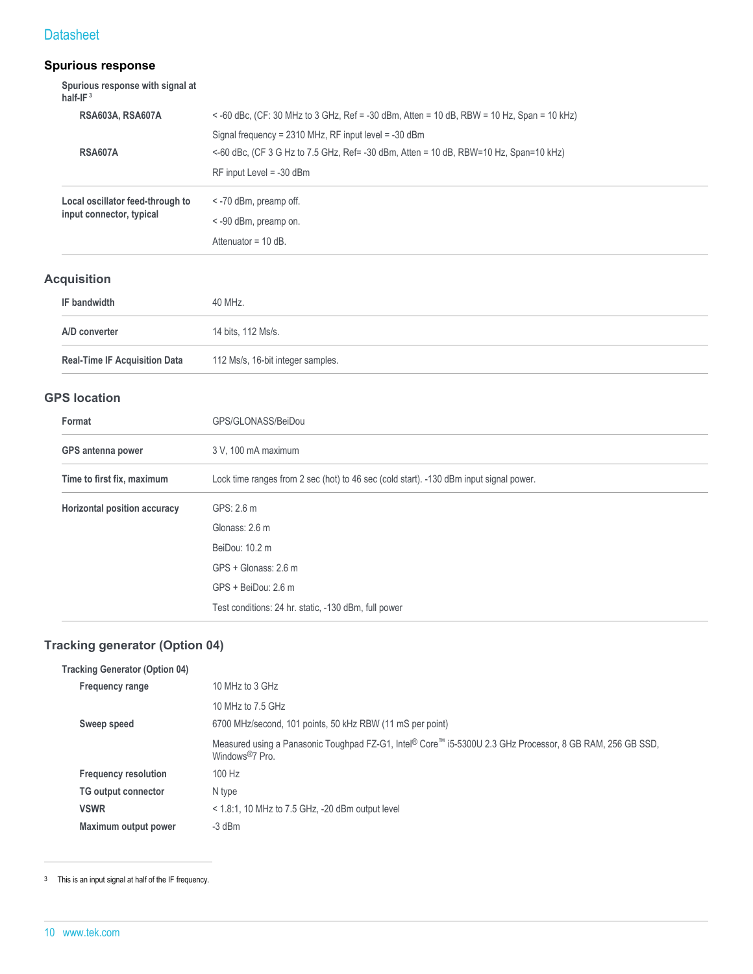# **Spurious response**

| Spurious response with signal at<br>half-IF $3$ |                                                                                            |
|-------------------------------------------------|--------------------------------------------------------------------------------------------|
| <b>RSA603A, RSA607A</b>                         | < -60 dBc, (CF: 30 MHz to 3 GHz, Ref = -30 dBm, Atten = 10 dB, RBW = 10 Hz, Span = 10 kHz) |
|                                                 | Signal frequency = $2310$ MHz, RF input level = $-30$ dBm                                  |
| <b>RSA607A</b>                                  | <-60 dBc, (CF 3 G Hz to 7.5 GHz, Ref= -30 dBm, Atten = 10 dB, RBW=10 Hz, Span=10 kHz)      |
|                                                 | $RF$ input Level = -30 dBm                                                                 |
| Local oscillator feed-through to                | $\le$ -70 dBm, preamp off.                                                                 |
| input connector, typical                        | < -90 dBm, preamp on.                                                                      |
|                                                 | Attenuator = $10 dB$ .                                                                     |

# **Acquisition**

| IF bandwidth                         | 40 MHz.                           |
|--------------------------------------|-----------------------------------|
| A/D converter                        | 14 bits, 112 Ms/s.                |
| <b>Real-Time IF Acquisition Data</b> | 112 Ms/s, 16-bit integer samples. |

#### **GPS location**

| Format                                                                                                               | GPS/GLONASS/BeiDou                                   |  |  |
|----------------------------------------------------------------------------------------------------------------------|------------------------------------------------------|--|--|
| GPS antenna power                                                                                                    | 3 V, 100 mA maximum                                  |  |  |
| Lock time ranges from 2 sec (hot) to 46 sec (cold start). -130 dBm input signal power.<br>Time to first fix, maximum |                                                      |  |  |
| Horizontal position accuracy                                                                                         | GPS: 2.6 m                                           |  |  |
|                                                                                                                      | Glonass: 2.6 m                                       |  |  |
|                                                                                                                      | BeiDou: 10.2 m                                       |  |  |
|                                                                                                                      | GPS + Glonass: 2.6 m                                 |  |  |
|                                                                                                                      | GPS + BeiDou: 2.6 m                                  |  |  |
|                                                                                                                      | Test conditions: 24 hr. static, -130 dBm, full power |  |  |

# **Tracking generator (Option 04)**

| <b>Tracking Generator (Option 04)</b> |                                                                                                                                          |  |  |
|---------------------------------------|------------------------------------------------------------------------------------------------------------------------------------------|--|--|
| <b>Frequency range</b>                | 10 MHz to 3 GHz                                                                                                                          |  |  |
|                                       | 10 MHz to 7.5 GHz                                                                                                                        |  |  |
| Sweep speed                           | 6700 MHz/second, 101 points, 50 kHz RBW (11 mS per point)                                                                                |  |  |
|                                       | Measured using a Panasonic Toughpad FZ-G1, Intel® Core™ i5-5300U 2.3 GHz Processor, 8 GB RAM, 256 GB SSD,<br>Windows <sup>®</sup> 7 Pro. |  |  |
| <b>Frequency resolution</b>           | 100 Hz                                                                                                                                   |  |  |
| <b>TG output connector</b>            | N type                                                                                                                                   |  |  |
| <b>VSWR</b>                           | $<$ 1.8:1, 10 MHz to 7.5 GHz, -20 dBm output level                                                                                       |  |  |
| Maximum output power                  | $-3$ dBm                                                                                                                                 |  |  |

<sup>3</sup> This is an input signal at half of the IF frequency.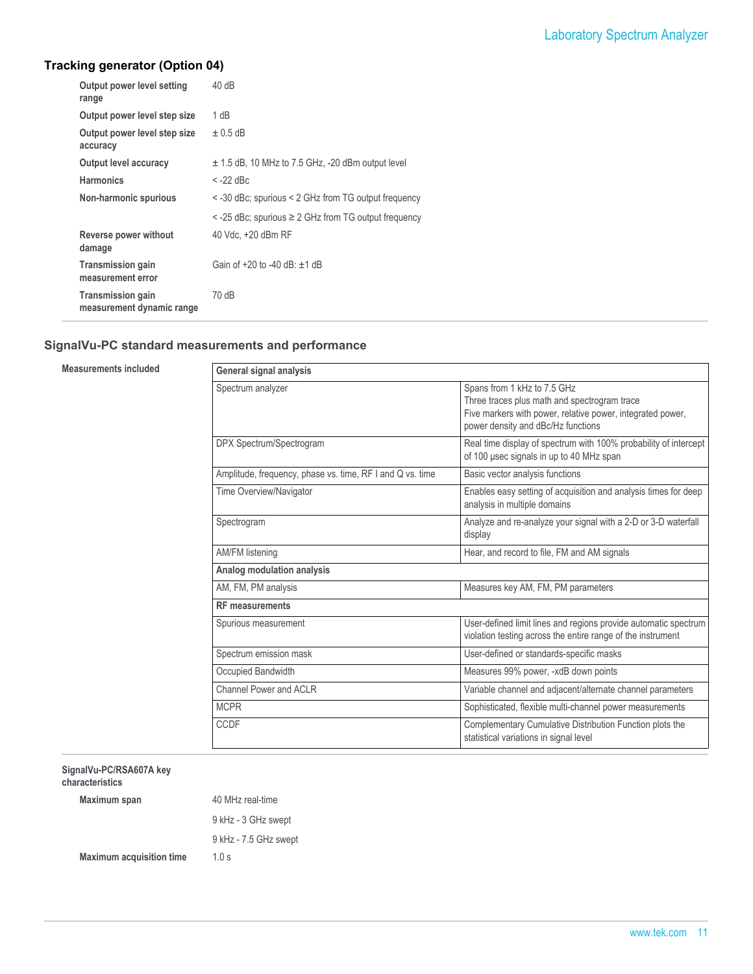# Laboratory Spectrum Analyzer

# **Tracking generator (Option 04)**

| Output power level setting<br>range                   | 40dB                                                         |
|-------------------------------------------------------|--------------------------------------------------------------|
| Output power level step size                          | 1 dB                                                         |
| Output power level step size<br>accuracy              | $\pm$ 0.5 dB                                                 |
| Output level accuracy                                 | $\pm$ 1.5 dB, 10 MHz to 7.5 GHz, -20 dBm output level        |
| <b>Harmonics</b>                                      | $<$ -22 dBc                                                  |
| Non-harmonic spurious                                 | < -30 dBc; spurious < 2 GHz from TG output frequency         |
|                                                       | $\le$ -25 dBc; spurious $\ge$ 2 GHz from TG output frequency |
| Reverse power without<br>damage                       | 40 Vdc. +20 dBm RF                                           |
| <b>Transmission gain</b><br>measurement error         | Gain of $+20$ to -40 dB: $+1$ dB                             |
| <b>Transmission gain</b><br>measurement dynamic range | 70 dB                                                        |

#### **SignalVu-PC standard measurements and performance**

**Measurements included** 

| General signal analysis                                   |                                                                                                                                                                                 |  |  |  |
|-----------------------------------------------------------|---------------------------------------------------------------------------------------------------------------------------------------------------------------------------------|--|--|--|
| Spectrum analyzer                                         | Spans from 1 kHz to 7.5 GHz<br>Three traces plus math and spectrogram trace<br>Five markers with power, relative power, integrated power,<br>power density and dBc/Hz functions |  |  |  |
| DPX Spectrum/Spectrogram                                  | Real time display of spectrum with 100% probability of intercept<br>of 100 usec signals in up to 40 MHz span                                                                    |  |  |  |
| Amplitude, frequency, phase vs. time, RF I and Q vs. time | Basic vector analysis functions                                                                                                                                                 |  |  |  |
| Time Overview/Navigator                                   | Enables easy setting of acquisition and analysis times for deep<br>analysis in multiple domains                                                                                 |  |  |  |
| Spectrogram                                               | Analyze and re-analyze your signal with a 2-D or 3-D waterfall<br>display                                                                                                       |  |  |  |
| AM/FM listening                                           | Hear, and record to file, FM and AM signals                                                                                                                                     |  |  |  |
| Analog modulation analysis                                |                                                                                                                                                                                 |  |  |  |
| AM, FM, PM analysis                                       | Measures key AM, FM, PM parameters                                                                                                                                              |  |  |  |
| <b>RF</b> measurements                                    |                                                                                                                                                                                 |  |  |  |
| Spurious measurement                                      | User-defined limit lines and regions provide automatic spectrum<br>violation testing across the entire range of the instrument                                                  |  |  |  |
| Spectrum emission mask                                    | User-defined or standards-specific masks                                                                                                                                        |  |  |  |
| Occupied Bandwidth                                        | Measures 99% power, -xdB down points                                                                                                                                            |  |  |  |
| Channel Power and ACI R                                   | Variable channel and adjacent/alternate channel parameters                                                                                                                      |  |  |  |
| <b>MCPR</b>                                               | Sophisticated, flexible multi-channel power measurements                                                                                                                        |  |  |  |
| CCDF                                                      | Complementary Cumulative Distribution Function plots the<br>statistical variations in signal level                                                                              |  |  |  |

**SignalVu-PC/RSA607A key characteristics**

| Maximum span                    | 40 MHz real-time      |  |
|---------------------------------|-----------------------|--|
|                                 | 9 kHz - 3 GHz swept   |  |
|                                 | 9 kHz - 7.5 GHz swept |  |
| <b>Maximum acquisition time</b> | 1.0 s                 |  |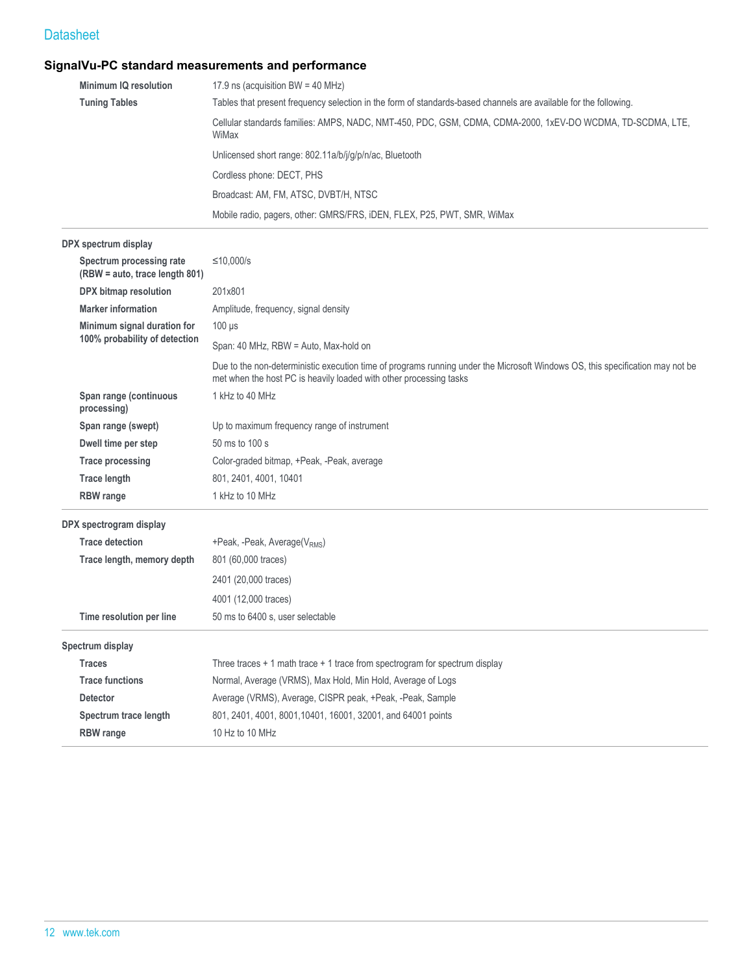# **SignalVu-PC standard measurements and performance**

| Minimum IQ resolution | 17.9 ns (acquisition BW = 40 MHz)                                                                                   |  |  |
|-----------------------|---------------------------------------------------------------------------------------------------------------------|--|--|
| <b>Tuning Tables</b>  | Tables that present frequency selection in the form of standards-based channels are available for the following.    |  |  |
|                       | Cellular standards families: AMPS, NADC, NMT-450, PDC, GSM, CDMA, CDMA-2000, 1xEV-DO WCDMA, TD-SCDMA, LTE,<br>WiMax |  |  |
|                       | Unlicensed short range: 802.11a/b/j/g/p/n/ac, Bluetooth                                                             |  |  |
|                       | Cordless phone: DECT, PHS                                                                                           |  |  |
|                       | Broadcast: AM, FM, ATSC, DVBT/H, NTSC                                                                               |  |  |
|                       | Mobile radio, pagers, other: GMRS/FRS, iDEN, FLEX, P25, PWT, SMR, WiMax                                             |  |  |

#### **DPX spectrum display**

|                       | Spectrum processing rate<br>(RBW = auto, trace length 801) | ≤10.000/s                                                                                                                                                                                           |  |  |  |  |
|-----------------------|------------------------------------------------------------|-----------------------------------------------------------------------------------------------------------------------------------------------------------------------------------------------------|--|--|--|--|
| DPX bitmap resolution |                                                            | 201x801                                                                                                                                                                                             |  |  |  |  |
|                       | <b>Marker information</b>                                  | Amplitude, frequency, signal density                                                                                                                                                                |  |  |  |  |
|                       | Minimum signal duration for                                | $100$ $\mu$ s                                                                                                                                                                                       |  |  |  |  |
|                       | 100% probability of detection                              | Span: 40 MHz, RBW = Auto, Max-hold on                                                                                                                                                               |  |  |  |  |
|                       |                                                            | Due to the non-deterministic execution time of programs running under the Microsoft Windows OS, this specification may not be<br>met when the host PC is heavily loaded with other processing tasks |  |  |  |  |
|                       | Span range (continuous<br>processing)                      | 1 kHz to 40 MHz                                                                                                                                                                                     |  |  |  |  |
|                       | Span range (swept)                                         | Up to maximum frequency range of instrument                                                                                                                                                         |  |  |  |  |
|                       | Dwell time per step                                        | 50 ms to 100 s                                                                                                                                                                                      |  |  |  |  |
|                       | <b>Trace processing</b>                                    | Color-graded bitmap, +Peak, -Peak, average                                                                                                                                                          |  |  |  |  |
|                       | <b>Trace length</b>                                        | 801, 2401, 4001, 10401                                                                                                                                                                              |  |  |  |  |
|                       | <b>RBW</b> range                                           | 1 kHz to 10 MHz                                                                                                                                                                                     |  |  |  |  |
|                       | DPX spectrogram display                                    |                                                                                                                                                                                                     |  |  |  |  |
|                       | <b>Trace detection</b>                                     | +Peak, -Peak, Average(V <sub>RMS</sub> )                                                                                                                                                            |  |  |  |  |
|                       | Trace length, memory depth                                 | 801 (60,000 traces)                                                                                                                                                                                 |  |  |  |  |
|                       |                                                            | 2401 (20,000 traces)                                                                                                                                                                                |  |  |  |  |
|                       |                                                            | 4001 (12,000 traces)                                                                                                                                                                                |  |  |  |  |
|                       | Time resolution per line                                   | 50 ms to 6400 s, user selectable                                                                                                                                                                    |  |  |  |  |
|                       |                                                            |                                                                                                                                                                                                     |  |  |  |  |
|                       | Spectrum display                                           |                                                                                                                                                                                                     |  |  |  |  |
|                       | <b>Traces</b>                                              | Three traces $+1$ math trace $+1$ trace from spectrogram for spectrum display                                                                                                                       |  |  |  |  |
|                       | <b>Trace functions</b>                                     | Normal, Average (VRMS), Max Hold, Min Hold, Average of Logs                                                                                                                                         |  |  |  |  |
|                       | <b>Detector</b>                                            | Average (VRMS), Average, CISPR peak, +Peak, -Peak, Sample                                                                                                                                           |  |  |  |  |
|                       | Spectrum trace length                                      | 801, 2401, 4001, 8001, 10401, 16001, 32001, and 64001 points                                                                                                                                        |  |  |  |  |
|                       | <b>RBW</b> range                                           | 10 Hz to 10 MHz                                                                                                                                                                                     |  |  |  |  |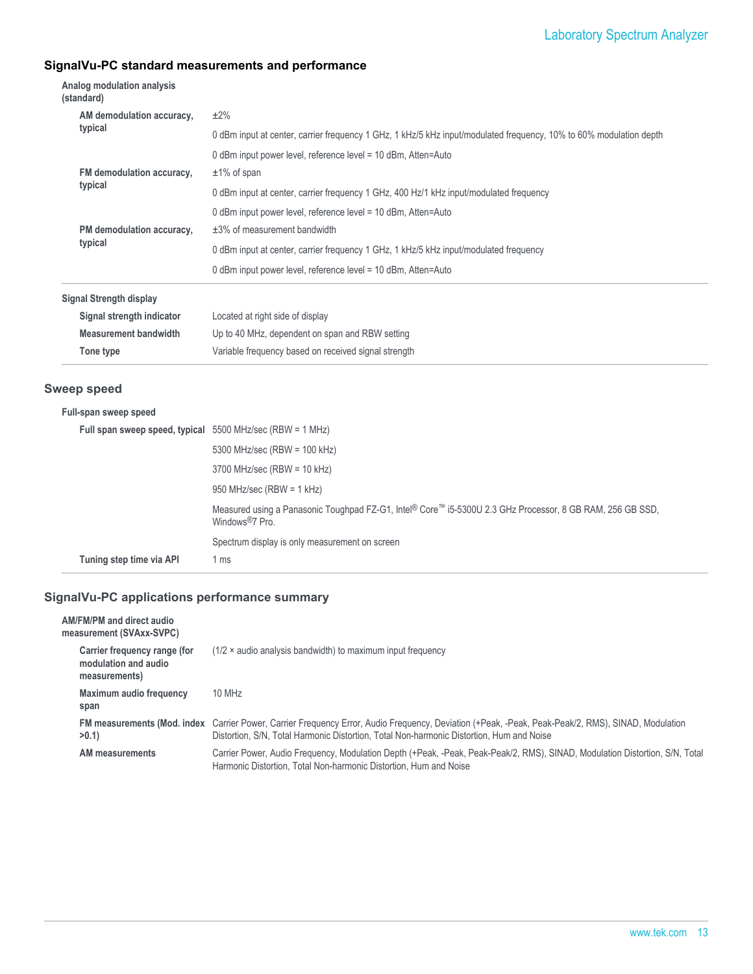# Laboratory Spectrum Analyzer

# **SignalVu-PC standard measurements and performance**

**Tone type** Variable frequency based on received signal strength

| Analog modulation analysis<br>(standard) |                                                                                                                    |  |  |  |
|------------------------------------------|--------------------------------------------------------------------------------------------------------------------|--|--|--|
| AM demodulation accuracy,                | $±2\%$                                                                                                             |  |  |  |
| typical                                  | 0 dBm input at center, carrier frequency 1 GHz, 1 kHz/5 kHz input/modulated frequency, 10% to 60% modulation depth |  |  |  |
|                                          | 0 dBm input power level, reference level = 10 dBm, Atten=Auto                                                      |  |  |  |
| FM demodulation accuracy,                | $±1\%$ of span                                                                                                     |  |  |  |
| typical                                  | 0 dBm input at center, carrier frequency 1 GHz, 400 Hz/1 kHz input/modulated frequency                             |  |  |  |
|                                          | 0 dBm input power level, reference level = 10 dBm, Atten=Auto                                                      |  |  |  |
| PM demodulation accuracy,                | $\pm$ 3% of measurement bandwidth                                                                                  |  |  |  |
| typical                                  | 0 dBm input at center, carrier frequency 1 GHz, 1 kHz/5 kHz input/modulated frequency                              |  |  |  |
|                                          | 0 dBm input power level, reference level = 10 dBm, Atten=Auto                                                      |  |  |  |
| Signal Strength display                  |                                                                                                                    |  |  |  |
| Signal strength indicator                | Located at right side of display                                                                                   |  |  |  |
| <b>Measurement bandwidth</b>             | Up to 40 MHz, dependent on span and RBW setting                                                                    |  |  |  |

#### **Sweep speed**

| Full span sweep speed, typical $5500$ MHz/sec (RBW = 1 MHz) |                                                                                                                                          |
|-------------------------------------------------------------|------------------------------------------------------------------------------------------------------------------------------------------|
|                                                             | 5300 MHz/sec (RBW = 100 kHz)                                                                                                             |
|                                                             | $3700$ MHz/sec (RBW = 10 kHz)                                                                                                            |
|                                                             | 950 MHz/sec (RBW = $1$ kHz)                                                                                                              |
|                                                             | Measured using a Panasonic Toughpad FZ-G1, Intel® Core™ i5-5300U 2.3 GHz Processor, 8 GB RAM, 256 GB SSD,<br>Windows <sup>®</sup> 7 Pro. |
|                                                             | Spectrum display is only measurement on screen                                                                                           |
| Tuning step time via API                                    | 1 ms                                                                                                                                     |

| AM/FM/PM and direct audio<br>measurement (SVAxx-SVPC)                 |                                                                                                                                                                                                                                                |
|-----------------------------------------------------------------------|------------------------------------------------------------------------------------------------------------------------------------------------------------------------------------------------------------------------------------------------|
| Carrier frequency range (for<br>modulation and audio<br>measurements) | $(1/2 \times$ audio analysis bandwidth) to maximum input frequency                                                                                                                                                                             |
| Maximum audio frequency<br>span                                       | 10 MHz                                                                                                                                                                                                                                         |
| >0.1                                                                  | FM measurements (Mod. index Carrier Power, Carrier Frequency Error, Audio Frequency, Deviation (+Peak, -Peak, Peak-Peak/2, RMS), SINAD, Modulation<br>Distortion, S/N, Total Harmonic Distortion, Total Non-harmonic Distortion, Hum and Noise |
| AM measurements                                                       | Carrier Power, Audio Frequency, Modulation Depth (+Peak, -Peak, Peak-Peak/2, RMS), SINAD, Modulation Distortion, S/N, Total<br>Harmonic Distortion, Total Non-harmonic Distortion, Hum and Noise                                               |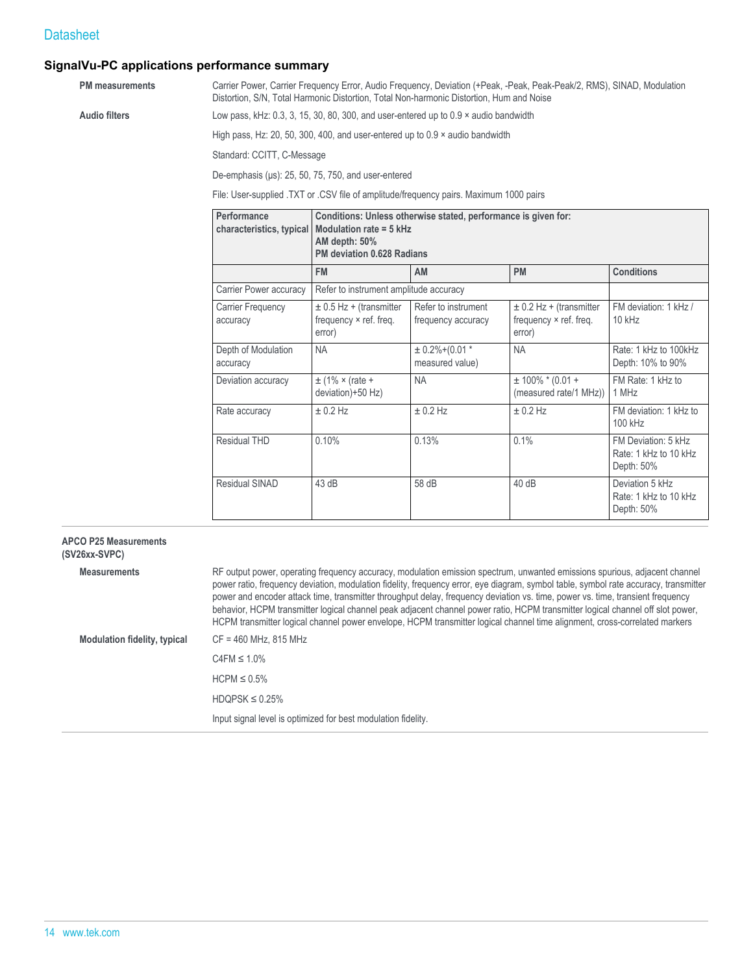# **SignalVu-PC applications performance summary**

| <b>PM</b> measurements |                                                                                      | Carrier Power, Carrier Frequency Error, Audio Frequency, Deviation (+Peak, -Peak, Peak-Peak/2, RMS), SINAD, Modulation<br>Distortion, S/N, Total Harmonic Distortion, Total Non-harmonic Distortion, Hum and Noise |    |           |                   |  |
|------------------------|--------------------------------------------------------------------------------------|--------------------------------------------------------------------------------------------------------------------------------------------------------------------------------------------------------------------|----|-----------|-------------------|--|
| <b>Audio filters</b>   |                                                                                      | Low pass, kHz: 0.3, 3, 15, 30, 80, 300, and user-entered up to 0.9 x audio bandwidth                                                                                                                               |    |           |                   |  |
|                        | High pass, Hz: 20, 50, 300, 400, and user-entered up to $0.9 \times$ audio bandwidth |                                                                                                                                                                                                                    |    |           |                   |  |
|                        |                                                                                      | Standard: CCITT, C-Message                                                                                                                                                                                         |    |           |                   |  |
|                        | De-emphasis (us): 25, 50, 75, 750, and user-entered                                  |                                                                                                                                                                                                                    |    |           |                   |  |
|                        | File: User-supplied TXT or CSV file of amplitude/frequency pairs. Maximum 1000 pairs |                                                                                                                                                                                                                    |    |           |                   |  |
|                        | Performance<br>characteristics, typical                                              | Conditions: Unless otherwise stated, performance is given for:<br>Modulation rate = $5$ kHz<br>AM depth: 50%<br><b>PM deviation 0.628 Radians</b>                                                                  |    |           |                   |  |
|                        |                                                                                      | <b>FM</b>                                                                                                                                                                                                          | AM | <b>PM</b> | <b>Conditions</b> |  |
|                        | Carrier Power accuracy                                                               | Refer to instrument amplitude accuracy                                                                                                                                                                             |    |           |                   |  |

| Carrier Power accuracy          | Refer to instrument amplitude accuracy                          |                                           |                                                                 |                                                            |
|---------------------------------|-----------------------------------------------------------------|-------------------------------------------|-----------------------------------------------------------------|------------------------------------------------------------|
| Carrier Frequency<br>accuracy   | $\pm$ 0.5 Hz + (transmitter<br>frequency × ref. freq.<br>error) | Refer to instrument<br>frequency accuracy | $\pm$ 0.2 Hz + (transmitter<br>frequency × ref. freq.<br>error) | FM deviation: 1 kHz /<br>$10$ kHz                          |
| Depth of Modulation<br>accuracy | <b>NA</b>                                                       | $± 0.2\%+(0.01*$<br>measured value)       | <b>NA</b>                                                       | Rate: 1 kHz to 100kHz<br>Depth: 10% to 90%                 |
| Deviation accuracy              | $\pm$ (1% × (rate +<br>deviation)+50 Hz)                        | <b>NA</b>                                 | $± 100\%$ * (0.01 +<br>(measured rate/1 MHz))                   | FM Rate: 1 kHz to<br>1 MHz                                 |
| Rate accuracy                   | $\pm$ 0.2 Hz                                                    | $± 0.2$ Hz                                | $\pm$ 0.2 Hz                                                    | FM deviation: 1 kHz to<br>100 kHz                          |
| Residual THD                    | 0.10%                                                           | 0.13%                                     | 0.1%                                                            | FM Deviation: 5 kHz<br>Rate: 1 kHz to 10 kHz<br>Depth: 50% |
| <b>Residual SINAD</b>           | 43 dB                                                           | 58 dB                                     | 40dB                                                            | Deviation 5 kHz<br>Rate: 1 kHz to 10 kHz<br>Depth: 50%     |

#### **APCO P25 Measurements (SV26xx-SVPC)**

| Measurements                        | RF output power, operating frequency accuracy, modulation emission spectrum, unwanted emissions spurious, adjacent channel<br>power ratio, frequency deviation, modulation fidelity, frequency error, eye diagram, symbol table, symbol rate accuracy, transmitter<br>power and encoder attack time, transmitter throughput delay, frequency deviation vs. time, power vs. time, transient frequency<br>behavior, HCPM transmitter logical channel peak adjacent channel power ratio, HCPM transmitter logical channel off slot power,<br>HCPM transmitter logical channel power envelope, HCPM transmitter logical channel time alignment, cross-correlated markers |
|-------------------------------------|----------------------------------------------------------------------------------------------------------------------------------------------------------------------------------------------------------------------------------------------------------------------------------------------------------------------------------------------------------------------------------------------------------------------------------------------------------------------------------------------------------------------------------------------------------------------------------------------------------------------------------------------------------------------|
| <b>Modulation fidelity, typical</b> | $CF = 460$ MHz, 815 MHz                                                                                                                                                                                                                                                                                                                                                                                                                                                                                                                                                                                                                                              |
|                                     | $C4FM \leq 1.0\%$                                                                                                                                                                                                                                                                                                                                                                                                                                                                                                                                                                                                                                                    |
|                                     | $HCPM \leq 0.5\%$                                                                                                                                                                                                                                                                                                                                                                                                                                                                                                                                                                                                                                                    |
|                                     | $HDQPSK \leq 0.25\%$                                                                                                                                                                                                                                                                                                                                                                                                                                                                                                                                                                                                                                                 |
|                                     | Input signal level is optimized for best modulation fidelity.                                                                                                                                                                                                                                                                                                                                                                                                                                                                                                                                                                                                        |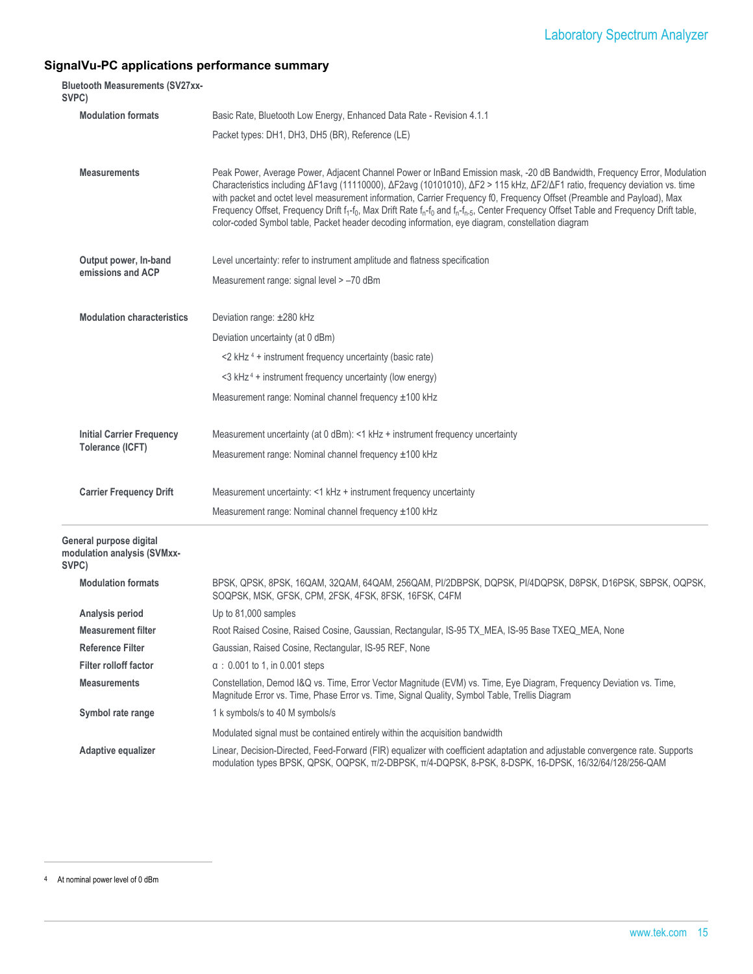| <b>Bluetooth Measurements (SV27xx-</b><br>SVPC)                 |                                                                                                                                                                                                                                                                                                                                                                                                                                                                                                                                                                                                                                                                                                           |
|-----------------------------------------------------------------|-----------------------------------------------------------------------------------------------------------------------------------------------------------------------------------------------------------------------------------------------------------------------------------------------------------------------------------------------------------------------------------------------------------------------------------------------------------------------------------------------------------------------------------------------------------------------------------------------------------------------------------------------------------------------------------------------------------|
| <b>Modulation formats</b>                                       | Basic Rate, Bluetooth Low Energy, Enhanced Data Rate - Revision 4.1.1                                                                                                                                                                                                                                                                                                                                                                                                                                                                                                                                                                                                                                     |
|                                                                 | Packet types: DH1, DH3, DH5 (BR), Reference (LE)                                                                                                                                                                                                                                                                                                                                                                                                                                                                                                                                                                                                                                                          |
| <b>Measurements</b>                                             | Peak Power, Average Power, Adjacent Channel Power or InBand Emission mask, -20 dB Bandwidth, Frequency Error, Modulation<br>Characteristics including ΔF1avg (11110000), ΔF2avg (10101010), ΔF2 > 115 kHz, ΔF2/ΔF1 ratio, frequency deviation vs. time<br>with packet and octet level measurement information, Carrier Frequency f0, Frequency Offset (Preamble and Payload), Max<br>Frequency Offset, Frequency Drift f <sub>1</sub> -f <sub>0</sub> , Max Drift Rate f <sub>n</sub> -f <sub>0</sub> and f <sub>n</sub> -f <sub>n-5</sub> , Center Frequency Offset Table and Frequency Drift table,<br>color-coded Symbol table, Packet header decoding information, eye diagram, constellation diagram |
| Output power, In-band                                           | Level uncertainty: refer to instrument amplitude and flatness specification                                                                                                                                                                                                                                                                                                                                                                                                                                                                                                                                                                                                                               |
| emissions and ACP                                               | Measurement range: signal level > -70 dBm                                                                                                                                                                                                                                                                                                                                                                                                                                                                                                                                                                                                                                                                 |
| <b>Modulation characteristics</b>                               | Deviation range: ±280 kHz                                                                                                                                                                                                                                                                                                                                                                                                                                                                                                                                                                                                                                                                                 |
|                                                                 | Deviation uncertainty (at 0 dBm)                                                                                                                                                                                                                                                                                                                                                                                                                                                                                                                                                                                                                                                                          |
|                                                                 | $<$ 2 kHz <sup>4</sup> + instrument frequency uncertainty (basic rate)                                                                                                                                                                                                                                                                                                                                                                                                                                                                                                                                                                                                                                    |
|                                                                 | <3 kHz <sup>4</sup> + instrument frequency uncertainty (low energy)                                                                                                                                                                                                                                                                                                                                                                                                                                                                                                                                                                                                                                       |
|                                                                 | Measurement range: Nominal channel frequency ±100 kHz                                                                                                                                                                                                                                                                                                                                                                                                                                                                                                                                                                                                                                                     |
| <b>Initial Carrier Frequency</b>                                | Measurement uncertainty (at 0 dBm): <1 kHz + instrument frequency uncertainty                                                                                                                                                                                                                                                                                                                                                                                                                                                                                                                                                                                                                             |
| Tolerance (ICFT)                                                | Measurement range: Nominal channel frequency ±100 kHz                                                                                                                                                                                                                                                                                                                                                                                                                                                                                                                                                                                                                                                     |
| <b>Carrier Frequency Drift</b>                                  | Measurement uncertainty: <1 kHz + instrument frequency uncertainty                                                                                                                                                                                                                                                                                                                                                                                                                                                                                                                                                                                                                                        |
|                                                                 | Measurement range: Nominal channel frequency ±100 kHz                                                                                                                                                                                                                                                                                                                                                                                                                                                                                                                                                                                                                                                     |
| General purpose digital<br>modulation analysis (SVMxx-<br>SVPC) |                                                                                                                                                                                                                                                                                                                                                                                                                                                                                                                                                                                                                                                                                                           |
| <b>Modulation formats</b>                                       | BPSK, QPSK, 8PSK, 16QAM, 32QAM, 64QAM, 256QAM, PI/2DBPSK, DQPSK, PI/4DQPSK, D8PSK, D16PSK, SBPSK, OQPSK,<br>SOQPSK, MSK, GFSK, CPM, 2FSK, 4FSK, 8FSK, 16FSK, C4FM                                                                                                                                                                                                                                                                                                                                                                                                                                                                                                                                         |
| Analysis period                                                 | Up to 81,000 samples                                                                                                                                                                                                                                                                                                                                                                                                                                                                                                                                                                                                                                                                                      |
| <b>Measurement filter</b>                                       | Root Raised Cosine, Raised Cosine, Gaussian, Rectangular, IS-95 TX_MEA, IS-95 Base TXEQ_MEA, None                                                                                                                                                                                                                                                                                                                                                                                                                                                                                                                                                                                                         |
| <b>Reference Filter</b>                                         | Gaussian, Raised Cosine, Rectangular, IS-95 REF, None                                                                                                                                                                                                                                                                                                                                                                                                                                                                                                                                                                                                                                                     |
| <b>Filter rolloff factor</b>                                    | $\alpha$ : 0.001 to 1, in 0.001 steps                                                                                                                                                                                                                                                                                                                                                                                                                                                                                                                                                                                                                                                                     |
| <b>Measurements</b>                                             | Constellation, Demod I&Q vs. Time, Error Vector Magnitude (EVM) vs. Time, Eye Diagram, Frequency Deviation vs. Time,<br>Magnitude Error vs. Time, Phase Error vs. Time, Signal Quality, Symbol Table, Trellis Diagram                                                                                                                                                                                                                                                                                                                                                                                                                                                                                     |
| Symbol rate range                                               | 1 k symbols/s to 40 M symbols/s                                                                                                                                                                                                                                                                                                                                                                                                                                                                                                                                                                                                                                                                           |
|                                                                 | Modulated signal must be contained entirely within the acquisition bandwidth                                                                                                                                                                                                                                                                                                                                                                                                                                                                                                                                                                                                                              |
| Adaptive equalizer                                              | Linear, Decision-Directed, Feed-Forward (FIR) equalizer with coefficient adaptation and adjustable convergence rate. Supports<br>modulation types BPSK, QPSK, OQPSK, π/2-DBPSK, π/4-DQPSK, 8-PSK, 8-DSPK, 16-DPSK, 16/32/64/128/256-QAM                                                                                                                                                                                                                                                                                                                                                                                                                                                                   |

<sup>4</sup> At nominal power level of 0 dBm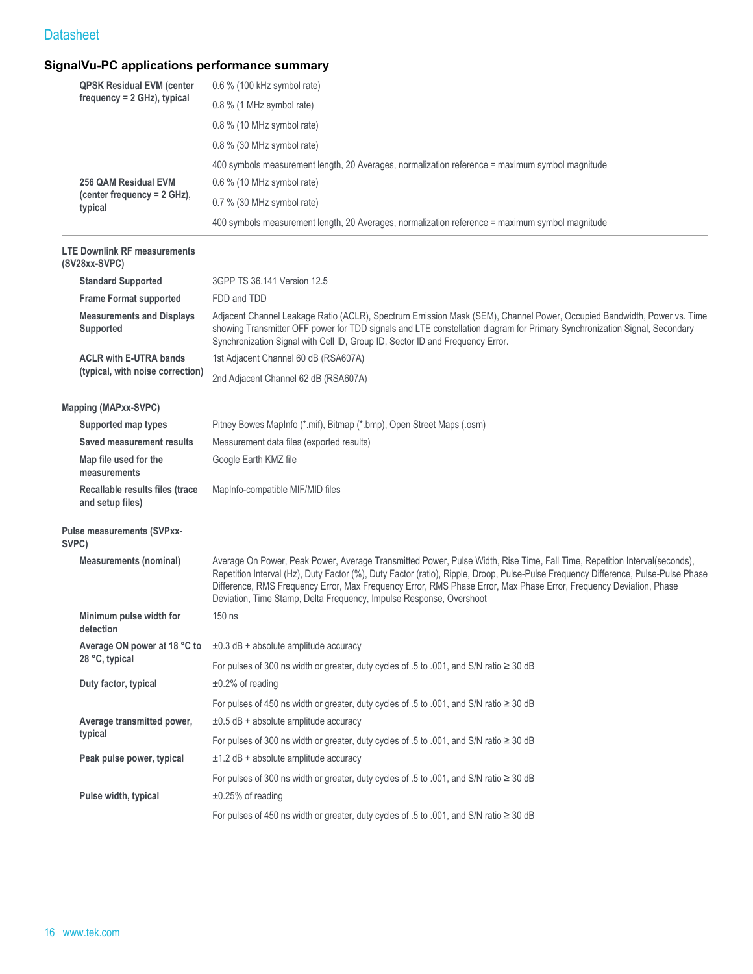| <b>QPSK Residual EVM (center</b>                     | 0.6 % (100 kHz symbol rate)                                                                                                                                                                                                                                                                                                                                                                                                                                  |
|------------------------------------------------------|--------------------------------------------------------------------------------------------------------------------------------------------------------------------------------------------------------------------------------------------------------------------------------------------------------------------------------------------------------------------------------------------------------------------------------------------------------------|
| $frequency = 2 GHz$ , typical                        | 0.8 % (1 MHz symbol rate)                                                                                                                                                                                                                                                                                                                                                                                                                                    |
|                                                      | 0.8 % (10 MHz symbol rate)                                                                                                                                                                                                                                                                                                                                                                                                                                   |
|                                                      | 0.8 % (30 MHz symbol rate)                                                                                                                                                                                                                                                                                                                                                                                                                                   |
|                                                      | 400 symbols measurement length, 20 Averages, normalization reference = maximum symbol magnitude                                                                                                                                                                                                                                                                                                                                                              |
| 256 QAM Residual EVM                                 | 0.6 % (10 MHz symbol rate)                                                                                                                                                                                                                                                                                                                                                                                                                                   |
| (center frequency = 2 GHz),<br>typical               | 0.7 % (30 MHz symbol rate)                                                                                                                                                                                                                                                                                                                                                                                                                                   |
|                                                      | 400 symbols measurement length, 20 Averages, normalization reference = maximum symbol magnitude                                                                                                                                                                                                                                                                                                                                                              |
| <b>LTE Downlink RF measurements</b><br>(SV28xx-SVPC) |                                                                                                                                                                                                                                                                                                                                                                                                                                                              |
| <b>Standard Supported</b>                            | 3GPP TS 36.141 Version 12.5                                                                                                                                                                                                                                                                                                                                                                                                                                  |
| <b>Frame Format supported</b>                        | FDD and TDD                                                                                                                                                                                                                                                                                                                                                                                                                                                  |
| <b>Measurements and Displays</b><br>Supported        | Adjacent Channel Leakage Ratio (ACLR), Spectrum Emission Mask (SEM), Channel Power, Occupied Bandwidth, Power vs. Time<br>showing Transmitter OFF power for TDD signals and LTE constellation diagram for Primary Synchronization Signal, Secondary<br>Synchronization Signal with Cell ID, Group ID, Sector ID and Frequency Error.                                                                                                                         |
| <b>ACLR with E-UTRA bands</b>                        | 1st Adjacent Channel 60 dB (RSA607A)                                                                                                                                                                                                                                                                                                                                                                                                                         |
| (typical, with noise correction)                     | 2nd Adjacent Channel 62 dB (RSA607A)                                                                                                                                                                                                                                                                                                                                                                                                                         |
| <b>Mapping (MAPxx-SVPC)</b>                          |                                                                                                                                                                                                                                                                                                                                                                                                                                                              |
| Supported map types                                  | Pitney Bowes MapInfo (*.mif), Bitmap (*.bmp), Open Street Maps (.osm)                                                                                                                                                                                                                                                                                                                                                                                        |
| Saved measurement results                            | Measurement data files (exported results)                                                                                                                                                                                                                                                                                                                                                                                                                    |
| Map file used for the<br>measurements                | Google Earth KMZ file                                                                                                                                                                                                                                                                                                                                                                                                                                        |
| Recallable results files (trace<br>and setup files)  | MapInfo-compatible MIF/MID files                                                                                                                                                                                                                                                                                                                                                                                                                             |
| Pulse measurements (SVPxx-<br>SVPC)                  |                                                                                                                                                                                                                                                                                                                                                                                                                                                              |
| <b>Measurements (nominal)</b>                        | Average On Power, Peak Power, Average Transmitted Power, Pulse Width, Rise Time, Fall Time, Repetition Interval(seconds),<br>Repetition Interval (Hz), Duty Factor (%), Duty Factor (ratio), Ripple, Droop, Pulse-Pulse Frequency Difference, Pulse-Pulse Phase<br>Difference, RMS Frequency Error, Max Frequency Error, RMS Phase Error, Max Phase Error, Frequency Deviation, Phase<br>Deviation, Time Stamp, Delta Frequency, Impulse Response, Overshoot |
| Minimum pulse width for<br>detection                 | 150 ns                                                                                                                                                                                                                                                                                                                                                                                                                                                       |
| Average ON power at 18 °C to                         | $\pm 0.3$ dB + absolute amplitude accuracy                                                                                                                                                                                                                                                                                                                                                                                                                   |
| 28 °C, typical                                       | For pulses of 300 ns width or greater, duty cycles of .5 to .001, and S/N ratio ≥ 30 dB                                                                                                                                                                                                                                                                                                                                                                      |
| Duty factor, typical                                 | $\pm 0.2\%$ of reading                                                                                                                                                                                                                                                                                                                                                                                                                                       |
|                                                      | For pulses of 450 ns width or greater, duty cycles of .5 to .001, and S/N ratio ≥ 30 dB                                                                                                                                                                                                                                                                                                                                                                      |
| Average transmitted power,                           | $\pm 0.5$ dB + absolute amplitude accuracy                                                                                                                                                                                                                                                                                                                                                                                                                   |
| typical                                              | For pulses of 300 ns width or greater, duty cycles of .5 to .001, and S/N ratio ≥ 30 dB                                                                                                                                                                                                                                                                                                                                                                      |
| Peak pulse power, typical                            | $\pm$ 1.2 dB + absolute amplitude accuracy                                                                                                                                                                                                                                                                                                                                                                                                                   |
|                                                      | For pulses of 300 ns width or greater, duty cycles of .5 to .001, and S/N ratio ≥ 30 dB                                                                                                                                                                                                                                                                                                                                                                      |
| Pulse width, typical                                 | $\pm 0.25\%$ of reading                                                                                                                                                                                                                                                                                                                                                                                                                                      |
|                                                      | For pulses of 450 ns width or greater, duty cycles of .5 to .001, and S/N ratio ≥ 30 dB                                                                                                                                                                                                                                                                                                                                                                      |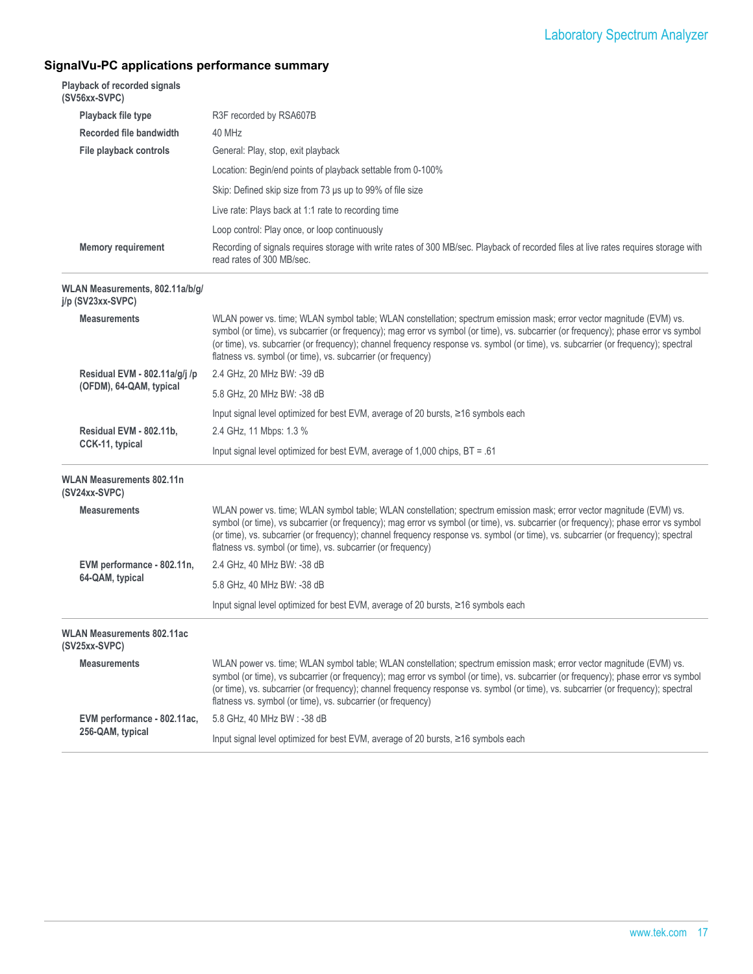| (SV56xx-SVPC)     | Playback of recorded signals      |                                                                                                                                                                                                                                                                                                                                                                                                                                                                   |
|-------------------|-----------------------------------|-------------------------------------------------------------------------------------------------------------------------------------------------------------------------------------------------------------------------------------------------------------------------------------------------------------------------------------------------------------------------------------------------------------------------------------------------------------------|
|                   | Playback file type                | R3F recorded by RSA607B                                                                                                                                                                                                                                                                                                                                                                                                                                           |
|                   | Recorded file bandwidth           | 40 MHz                                                                                                                                                                                                                                                                                                                                                                                                                                                            |
|                   | File playback controls            | General: Play, stop, exit playback                                                                                                                                                                                                                                                                                                                                                                                                                                |
|                   |                                   | Location: Begin/end points of playback settable from 0-100%                                                                                                                                                                                                                                                                                                                                                                                                       |
|                   |                                   | Skip: Defined skip size from 73 us up to 99% of file size                                                                                                                                                                                                                                                                                                                                                                                                         |
|                   |                                   | Live rate: Plays back at 1:1 rate to recording time                                                                                                                                                                                                                                                                                                                                                                                                               |
|                   |                                   | Loop control: Play once, or loop continuously                                                                                                                                                                                                                                                                                                                                                                                                                     |
|                   | <b>Memory requirement</b>         | Recording of signals requires storage with write rates of 300 MB/sec. Playback of recorded files at live rates requires storage with<br>read rates of 300 MB/sec.                                                                                                                                                                                                                                                                                                 |
| j/p (SV23xx-SVPC) | WLAN Measurements, 802.11a/b/g/   |                                                                                                                                                                                                                                                                                                                                                                                                                                                                   |
|                   | <b>Measurements</b>               | WLAN power vs. time; WLAN symbol table; WLAN constellation; spectrum emission mask; error vector magnitude (EVM) vs.<br>symbol (or time), vs subcarrier (or frequency); mag error vs symbol (or time), vs. subcarrier (or frequency); phase error vs symbol<br>(or time), vs. subcarrier (or frequency); channel frequency response vs. symbol (or time), vs. subcarrier (or frequency); spectral<br>flatness vs. symbol (or time), vs. subcarrier (or frequency) |
|                   | Residual EVM - 802.11a/g/j /p     | 2.4 GHz, 20 MHz BW: -39 dB                                                                                                                                                                                                                                                                                                                                                                                                                                        |
|                   | (OFDM), 64-QAM, typical           | 5.8 GHz, 20 MHz BW: -38 dB                                                                                                                                                                                                                                                                                                                                                                                                                                        |
|                   |                                   | Input signal level optimized for best EVM, average of 20 bursts, ≥16 symbols each                                                                                                                                                                                                                                                                                                                                                                                 |
|                   | Residual EVM - 802.11b,           | 2.4 GHz, 11 Mbps: 1.3 %                                                                                                                                                                                                                                                                                                                                                                                                                                           |
|                   | CCK-11, typical                   | Input signal level optimized for best EVM, average of 1,000 chips, $BT = .61$                                                                                                                                                                                                                                                                                                                                                                                     |
| (SV24xx-SVPC)     | <b>WLAN Measurements 802.11n</b>  |                                                                                                                                                                                                                                                                                                                                                                                                                                                                   |
|                   | <b>Measurements</b>               | WLAN power vs. time; WLAN symbol table; WLAN constellation; spectrum emission mask; error vector magnitude (EVM) vs.<br>symbol (or time), vs subcarrier (or frequency); mag error vs symbol (or time), vs. subcarrier (or frequency); phase error vs symbol<br>(or time), vs. subcarrier (or frequency); channel frequency response vs. symbol (or time), vs. subcarrier (or frequency); spectral<br>flatness vs. symbol (or time), vs. subcarrier (or frequency) |
|                   | EVM performance - 802.11n,        | 2.4 GHz, 40 MHz BW: -38 dB                                                                                                                                                                                                                                                                                                                                                                                                                                        |
|                   | 64-QAM, typical                   | 5.8 GHz, 40 MHz BW: -38 dB                                                                                                                                                                                                                                                                                                                                                                                                                                        |
|                   |                                   | Input signal level optimized for best EVM, average of 20 bursts, ≥16 symbols each                                                                                                                                                                                                                                                                                                                                                                                 |
| (SV25xx-SVPC)     | <b>WLAN Measurements 802.11ac</b> |                                                                                                                                                                                                                                                                                                                                                                                                                                                                   |
|                   | <b>Measurements</b>               | WLAN power vs. time; WLAN symbol table; WLAN constellation; spectrum emission mask; error vector magnitude (EVM) vs.<br>symbol (or time), vs subcarrier (or frequency); mag error vs symbol (or time), vs. subcarrier (or frequency); phase error vs symbol<br>(or time), vs. subcarrier (or frequency); channel frequency response vs. symbol (or time), vs. subcarrier (or frequency); spectral<br>flatness vs. symbol (or time), vs. subcarrier (or frequency) |
|                   | EVM performance - 802.11ac,       | 5.8 GHz, 40 MHz BW : -38 dB                                                                                                                                                                                                                                                                                                                                                                                                                                       |
|                   | 256-QAM, typical                  | Input signal level optimized for best EVM, average of 20 bursts, ≥16 symbols each                                                                                                                                                                                                                                                                                                                                                                                 |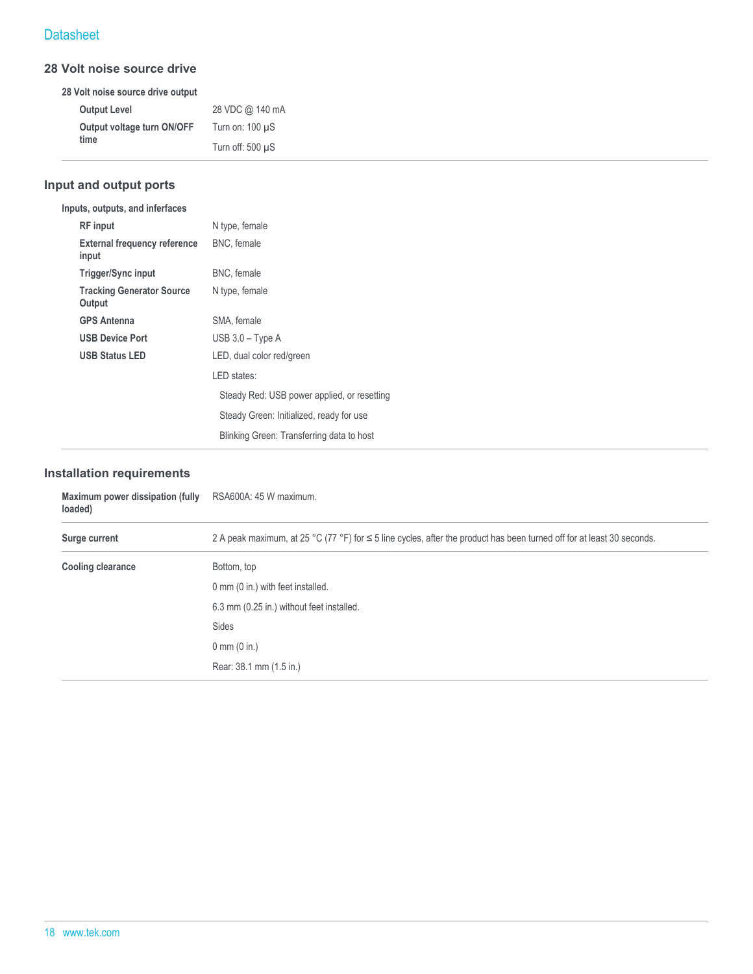#### **28 Volt noise source drive**

|                     | 28 Volt noise source drive output |                       |
|---------------------|-----------------------------------|-----------------------|
| <b>Output Level</b> |                                   | 28 VDC @ 140 mA       |
|                     | Output voltage turn ON/OFF        | Turn on: $100 \mu S$  |
| time                |                                   | Turn off: $500 \mu S$ |

# **Input and output ports**

| Inputs, outputs, and inferfaces              |                                             |
|----------------------------------------------|---------------------------------------------|
| <b>RF</b> input                              | N type, female                              |
| <b>External frequency reference</b><br>input | BNC, female                                 |
| Trigger/Sync input                           | BNC, female                                 |
| <b>Tracking Generator Source</b><br>Output   | N type, female                              |
| <b>GPS Antenna</b>                           | SMA, female                                 |
| <b>USB Device Port</b>                       | $USB$ 3.0 – Type A                          |
| <b>USB Status LED</b>                        | LED, dual color red/green                   |
|                                              | LED states:                                 |
|                                              | Steady Red: USB power applied, or resetting |
|                                              | Steady Green: Initialized, ready for use    |
|                                              | Blinking Green: Transferring data to host   |
|                                              |                                             |

#### **Installation requirements**

| Maximum power dissipation (fully<br>loaded) | RSA600A: 45 W maximum.                                                                                                      |  |
|---------------------------------------------|-----------------------------------------------------------------------------------------------------------------------------|--|
| Surge current                               | 2 A peak maximum, at 25 °C (77 °F) for $\leq$ 5 line cycles, after the product has been turned off for at least 30 seconds. |  |
| <b>Cooling clearance</b>                    | Bottom, top                                                                                                                 |  |
|                                             | 0 mm (0 in.) with feet installed.                                                                                           |  |
|                                             | 6.3 mm (0.25 in.) without feet installed.                                                                                   |  |
|                                             | Sides                                                                                                                       |  |
|                                             | $0 \, \text{mm}$ (0 in.)                                                                                                    |  |
|                                             | Rear: 38.1 mm (1.5 in.)                                                                                                     |  |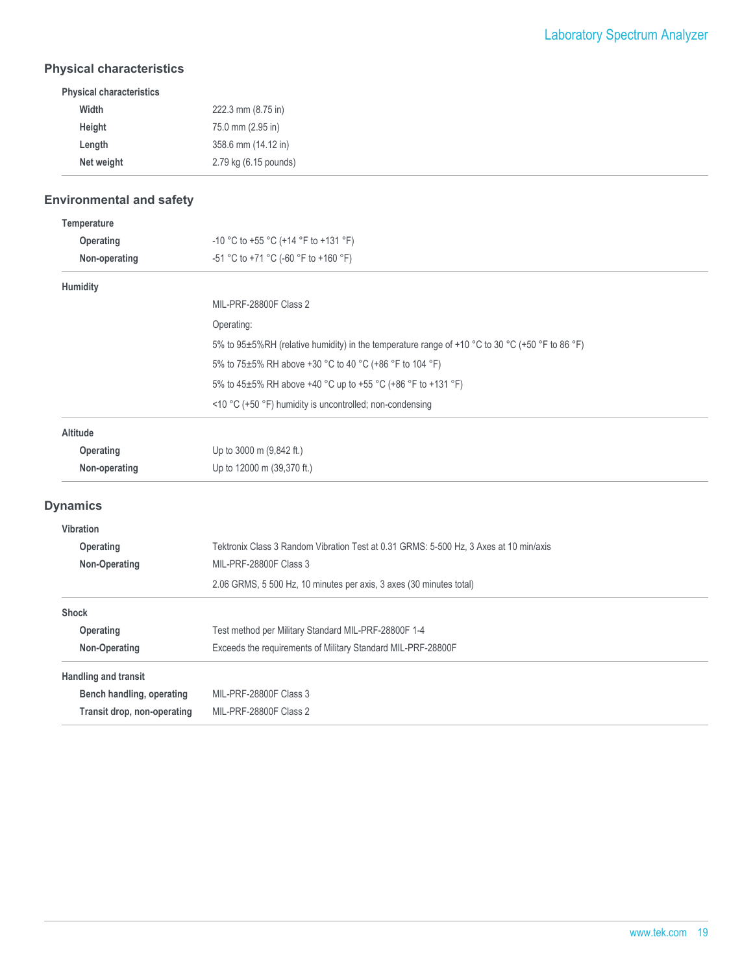#### **Physical characteristics**

| Width      | 222.3 mm (8.75 in)    |
|------------|-----------------------|
| Height     | 75.0 mm (2.95 in)     |
| Length     | 358.6 mm (14.12 in)   |
| Net weight | 2.79 kg (6.15 pounds) |

# **Environmental and safety**

| Temperature                 |                                                                                                 |
|-----------------------------|-------------------------------------------------------------------------------------------------|
| Operating                   | -10 °C to +55 °C (+14 °F to +131 °F)                                                            |
| Non-operating               | -51 °C to +71 °C (-60 °F to +160 °F)                                                            |
| Humidity                    |                                                                                                 |
|                             | MIL-PRF-28800F Class 2                                                                          |
|                             | Operating:                                                                                      |
|                             | 5% to 95±5%RH (relative humidity) in the temperature range of +10 °C to 30 °C (+50 °F to 86 °F) |
|                             | 5% to 75±5% RH above +30 °C to 40 °C (+86 °F to 104 °F)                                         |
|                             | 5% to 45±5% RH above +40 °C up to +55 °C (+86 °F to +131 °F)                                    |
|                             | <10 °C (+50 °F) humidity is uncontrolled; non-condensing                                        |
| Altitude                    |                                                                                                 |
| Operating                   | Up to 3000 m (9,842 ft.)                                                                        |
| Non-operating               | Up to 12000 m (39,370 ft.)                                                                      |
| <b>Dynamics</b>             |                                                                                                 |
| <b>Vibration</b>            |                                                                                                 |
| Operating                   | Tektronix Class 3 Random Vibration Test at 0.31 GRMS: 5-500 Hz, 3 Axes at 10 min/axis           |
| Non-Operating               | MIL-PRF-28800F Class 3                                                                          |
|                             | 2.06 GRMS, 5 500 Hz, 10 minutes per axis, 3 axes (30 minutes total)                             |
| <b>Shock</b>                |                                                                                                 |
| Operating                   | Test method per Military Standard MIL-PRF-28800F 1-4                                            |
| Non-Operating               | Exceeds the requirements of Military Standard MIL-PRF-28800F                                    |
| <b>Handling and transit</b> |                                                                                                 |
| Bench handling, operating   | MIL-PRF-28800F Class 3                                                                          |
| Transit drop, non-operating | MIL-PRF-28800F Class 2                                                                          |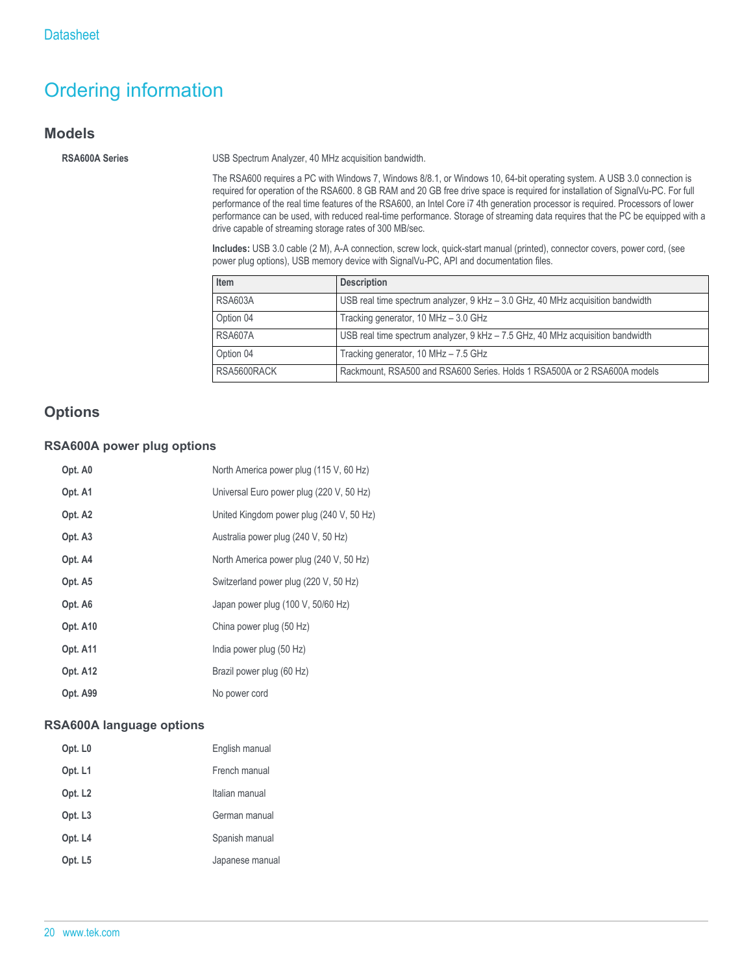# Ordering information

#### **Models**

**RSA600A Series** USB Spectrum Analyzer, 40 MHz acquisition bandwidth.

The RSA600 requires a PC with Windows 7, Windows 8/8.1, or Windows 10, 64-bit operating system. A USB 3.0 connection is required for operation of the RSA600. 8 GB RAM and 20 GB free drive space is required for installation of SignalVu-PC. For full performance of the real time features of the RSA600, an Intel Core i7 4th generation processor is required. Processors of lower performance can be used, with reduced real-time performance. Storage of streaming data requires that the PC be equipped with a drive capable of streaming storage rates of 300 MB/sec.

**Includes:** USB 3.0 cable (2 M), A-A connection, screw lock, quick-start manual (printed), connector covers, power cord, (see power plug options), USB memory device with SignalVu-PC, API and documentation files.

| Item           | <b>Description</b>                                                             |  |
|----------------|--------------------------------------------------------------------------------|--|
| <b>RSA603A</b> | USB real time spectrum analyzer, 9 kHz - 3.0 GHz, 40 MHz acquisition bandwidth |  |
| Option 04      | Tracking generator, 10 MHz - 3.0 GHz                                           |  |
| <b>RSA607A</b> | USB real time spectrum analyzer, 9 kHz - 7.5 GHz, 40 MHz acquisition bandwidth |  |
| Option 04      | Tracking generator, 10 MHz - 7.5 GHz                                           |  |
| RSA5600RACK    | Rackmount, RSA500 and RSA600 Series. Holds 1 RSA500A or 2 RSA600A models       |  |

# **Options**

#### **RSA600A power plug options**

| Opt. A0             | North America power plug (115 V, 60 Hz)  |
|---------------------|------------------------------------------|
| Opt. A1             | Universal Euro power plug (220 V, 50 Hz) |
| Opt. A <sub>2</sub> | United Kingdom power plug (240 V, 50 Hz) |
| Opt. A <sub>3</sub> | Australia power plug (240 V, 50 Hz)      |
| Opt. A4             | North America power plug (240 V, 50 Hz)  |
| Opt. A5             | Switzerland power plug (220 V, 50 Hz)    |
| Opt. A6             | Japan power plug (100 V, 50/60 Hz)       |
| Opt. A10            | China power plug (50 Hz)                 |
| Opt. A11            | India power plug (50 Hz)                 |
| Opt. A12            | Brazil power plug (60 Hz)                |
| Opt. A99            | No power cord                            |

#### **RSA600A language options**

| Opt. L <sub>0</sub> | English manual  |
|---------------------|-----------------|
| Opt. L1             | French manual   |
| Opt. L <sub>2</sub> | Italian manual  |
| Opt. L <sub>3</sub> | German manual   |
| Opt. L4             | Spanish manual  |
| Opt. L <sub>5</sub> | Japanese manual |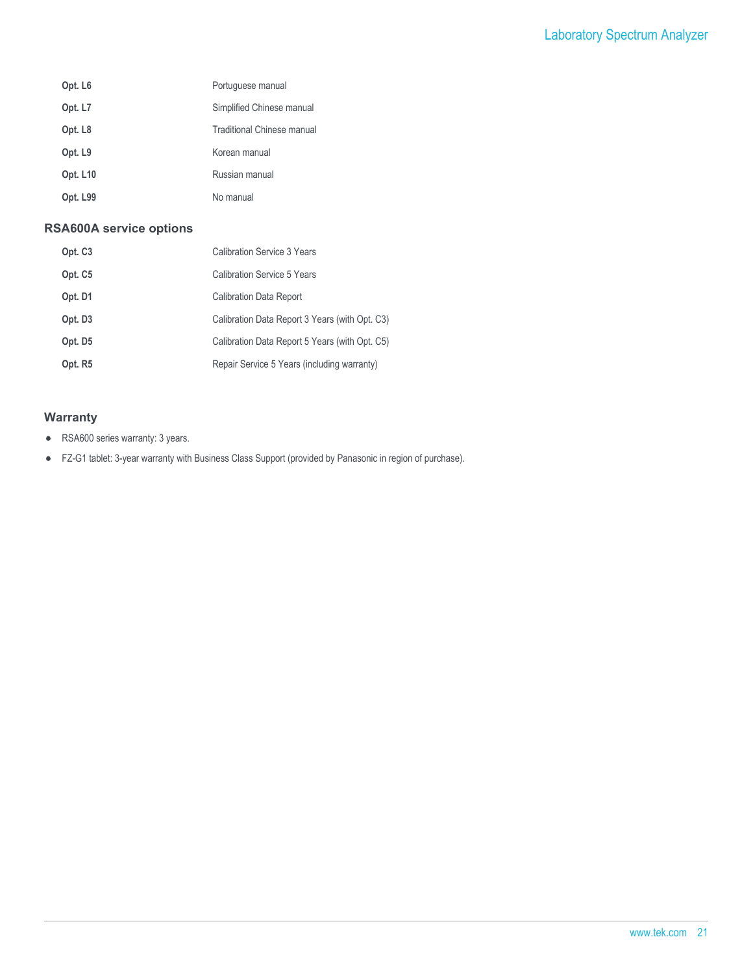| Opt. L <sub>6</sub> | Portuguese manual                 |
|---------------------|-----------------------------------|
| Opt. L7             | Simplified Chinese manual         |
| Opt. L <sub>8</sub> | <b>Traditional Chinese manual</b> |
| Opt. L9             | Korean manual                     |
| <b>Opt. L10</b>     | Russian manual                    |
| Opt. L99            | No manual                         |

#### **RSA600A service options**

| Opt. C <sub>3</sub> | Calibration Service 3 Years                    |
|---------------------|------------------------------------------------|
| Opt. C <sub>5</sub> | Calibration Service 5 Years                    |
| Opt. D1             | <b>Calibration Data Report</b>                 |
| Opt. D <sub>3</sub> | Calibration Data Report 3 Years (with Opt. C3) |
| Opt. D5             | Calibration Data Report 5 Years (with Opt. C5) |
| Opt. R5             | Repair Service 5 Years (including warranty)    |

#### **Warranty**

- RSA600 series warranty: 3 years.  $\bullet$
- FZ-G1 tablet: 3-year warranty with Business Class Support (provided by Panasonic in region of purchase).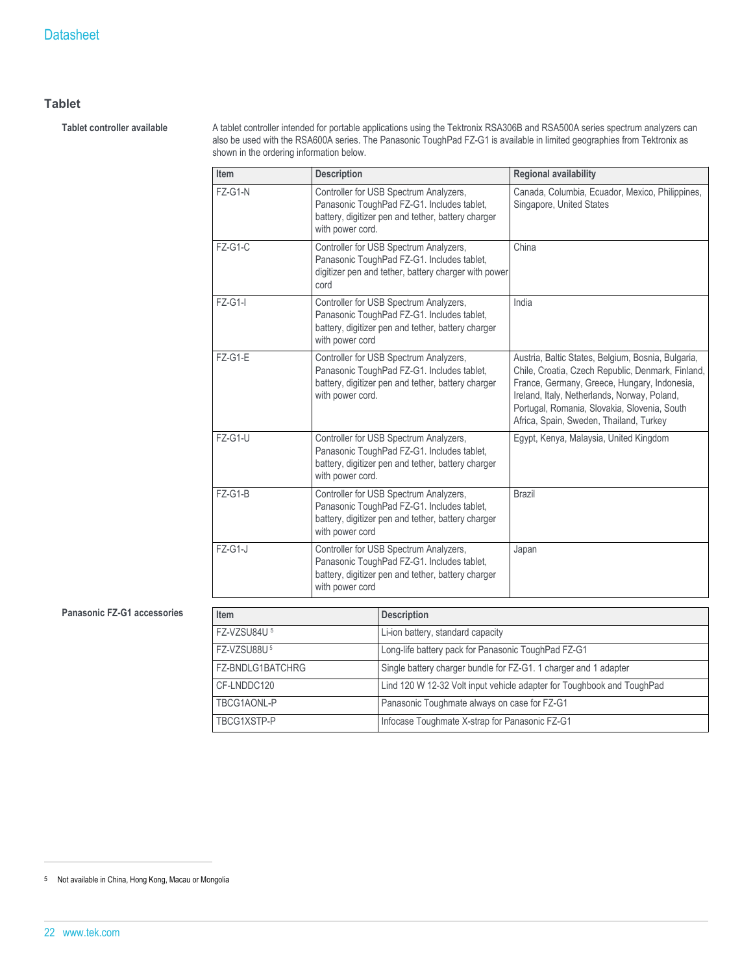#### **Tablet**

Tablet controller available **A** tablet controller intended for portable applications using the Tektronix RSA306B and RSA500A series spectrum analyzers can also be used with the RSA600A series. The Panasonic ToughPad FZ-G1 is available in limited geographies from Tektronix as shown in the ordering information below.

| Item      | <b>Description</b>                                                                                                                                             | <b>Regional availability</b>                                                                                                                                                                                                                                                                       |
|-----------|----------------------------------------------------------------------------------------------------------------------------------------------------------------|----------------------------------------------------------------------------------------------------------------------------------------------------------------------------------------------------------------------------------------------------------------------------------------------------|
| $FZ-G1-N$ | Controller for USB Spectrum Analyzers,<br>Panasonic ToughPad FZ-G1. Includes tablet,<br>battery, digitizer pen and tether, battery charger<br>with power cord. | Canada, Columbia, Ecuador, Mexico, Philippines,<br>Singapore, United States                                                                                                                                                                                                                        |
| $FZ-G1-C$ | Controller for USB Spectrum Analyzers,<br>Panasonic ToughPad FZ-G1. Includes tablet,<br>digitizer pen and tether, battery charger with power<br>cord           | China                                                                                                                                                                                                                                                                                              |
| $FZ-G1-I$ | Controller for USB Spectrum Analyzers,<br>Panasonic ToughPad FZ-G1. Includes tablet,<br>battery, digitizer pen and tether, battery charger<br>with power cord  | India                                                                                                                                                                                                                                                                                              |
| $FZ-G1-E$ | Controller for USB Spectrum Analyzers,<br>Panasonic ToughPad FZ-G1. Includes tablet,<br>battery, digitizer pen and tether, battery charger<br>with power cord. | Austria, Baltic States, Belgium, Bosnia, Bulgaria,<br>Chile, Croatia, Czech Republic, Denmark, Finland,<br>France, Germany, Greece, Hungary, Indonesia,<br>Ireland, Italy, Netherlands, Norway, Poland,<br>Portugal, Romania, Slovakia, Slovenia, South<br>Africa, Spain, Sweden, Thailand, Turkey |
| FZ-G1-U   | Controller for USB Spectrum Analyzers,<br>Panasonic ToughPad FZ-G1. Includes tablet,<br>battery, digitizer pen and tether, battery charger<br>with power cord. | Egypt, Kenya, Malaysia, United Kingdom                                                                                                                                                                                                                                                             |
| $FZ-G1-B$ | Controller for USB Spectrum Analyzers,<br>Panasonic ToughPad FZ-G1. Includes tablet,<br>battery, digitizer pen and tether, battery charger<br>with power cord  | <b>Brazil</b>                                                                                                                                                                                                                                                                                      |
| $FZ-G1-J$ | Controller for USB Spectrum Analyzers,<br>Panasonic ToughPad FZ-G1. Includes tablet,<br>battery, digitizer pen and tether, battery charger<br>with power cord  | Japan                                                                                                                                                                                                                                                                                              |

#### **Panasonic FZ-G1 accessories**

| Item                    | <b>Description</b>                                                     |
|-------------------------|------------------------------------------------------------------------|
| FZ-VZSU84U <sup>5</sup> | Li-ion battery, standard capacity                                      |
| FZ-VZSU88U <sup>5</sup> | Long-life battery pack for Panasonic ToughPad FZ-G1                    |
| FZ-BNDLG1BATCHRG        | Single battery charger bundle for FZ-G1. 1 charger and 1 adapter       |
| CF-LNDDC120             | Lind 120 W 12-32 Volt input vehicle adapter for Toughbook and ToughPad |
| TBCG1AONL-P             | Panasonic Toughmate always on case for FZ-G1                           |
| TBCG1XSTP-P             | Infocase Toughmate X-strap for Panasonic FZ-G1                         |

<sup>5</sup> Not available in China, Hong Kong, Macau or Mongolia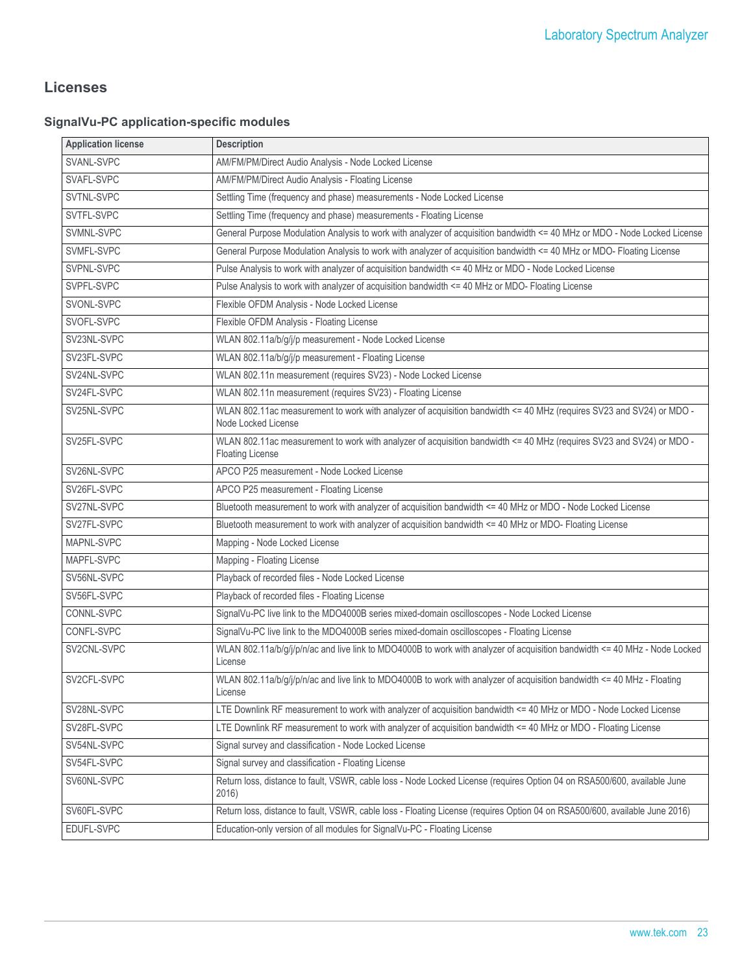# **Licenses**

# **SignalVu-PC application-specific modules**

| <b>Application license</b> | <b>Description</b>                                                                                                                              |
|----------------------------|-------------------------------------------------------------------------------------------------------------------------------------------------|
| SVANL-SVPC                 | AM/FM/PM/Direct Audio Analysis - Node Locked License                                                                                            |
| SVAFL-SVPC                 | AM/FM/PM/Direct Audio Analysis - Floating License                                                                                               |
| SVTNL-SVPC                 | Settling Time (frequency and phase) measurements - Node Locked License                                                                          |
| SVTFL-SVPC                 | Settling Time (frequency and phase) measurements - Floating License                                                                             |
| SVMNL-SVPC                 | General Purpose Modulation Analysis to work with analyzer of acquisition bandwidth <= 40 MHz or MDO - Node Locked License                       |
| SVMFL-SVPC                 | General Purpose Modulation Analysis to work with analyzer of acquisition bandwidth <= 40 MHz or MDO- Floating License                           |
| SVPNL-SVPC                 | Pulse Analysis to work with analyzer of acquisition bandwidth <= 40 MHz or MDO - Node Locked License                                            |
| SVPFL-SVPC                 | Pulse Analysis to work with analyzer of acquisition bandwidth <= 40 MHz or MDO- Floating License                                                |
| SVONL-SVPC                 | Flexible OFDM Analysis - Node Locked License                                                                                                    |
| SVOFL-SVPC                 | Flexible OFDM Analysis - Floating License                                                                                                       |
| SV23NL-SVPC                | WLAN 802.11a/b/g/j/p measurement - Node Locked License                                                                                          |
| SV23FL-SVPC                | WLAN 802.11a/b/g/j/p measurement - Floating License                                                                                             |
| SV24NL-SVPC                | WLAN 802.11n measurement (requires SV23) - Node Locked License                                                                                  |
| SV24FL-SVPC                | WLAN 802.11n measurement (requires SV23) - Floating License                                                                                     |
| SV25NL-SVPC                | WLAN 802.11ac measurement to work with analyzer of acquisition bandwidth <= 40 MHz (requires SV23 and SV24) or MDO -<br>Node Locked License     |
| SV25FL-SVPC                | WLAN 802.11ac measurement to work with analyzer of acquisition bandwidth <= 40 MHz (requires SV23 and SV24) or MDO -<br><b>Floating License</b> |
| SV26NL-SVPC                | APCO P25 measurement - Node Locked License                                                                                                      |
| SV26FL-SVPC                | APCO P25 measurement - Floating License                                                                                                         |
| SV27NL-SVPC                | Bluetooth measurement to work with analyzer of acquisition bandwidth <= 40 MHz or MDO - Node Locked License                                     |
| SV27FL-SVPC                | Bluetooth measurement to work with analyzer of acquisition bandwidth <= 40 MHz or MDO- Floating License                                         |
| MAPNL-SVPC                 | Mapping - Node Locked License                                                                                                                   |
| MAPFL-SVPC                 | Mapping - Floating License                                                                                                                      |
| SV56NL-SVPC                | Playback of recorded files - Node Locked License                                                                                                |
| SV56FL-SVPC                | Playback of recorded files - Floating License                                                                                                   |
| CONNL-SVPC                 | SignalVu-PC live link to the MDO4000B series mixed-domain oscilloscopes - Node Locked License                                                   |
| CONFL-SVPC                 | SignalVu-PC live link to the MDO4000B series mixed-domain oscilloscopes - Floating License                                                      |
| SV2CNL-SVPC                | WLAN 802.11a/b/g/j/p/n/ac and live link to MDO4000B to work with analyzer of acquisition bandwidth <= 40 MHz - Node Locked<br>License           |
| SV2CFL-SVPC                | WLAN 802.11a/b/g/j/p/n/ac and live link to MDO4000B to work with analyzer of acquisition bandwidth <= 40 MHz - Floating<br>License              |
| SV28NL-SVPC                | LTE Downlink RF measurement to work with analyzer of acquisition bandwidth <= 40 MHz or MDO - Node Locked License                               |
| SV28FL-SVPC                | LTE Downlink RF measurement to work with analyzer of acquisition bandwidth <= 40 MHz or MDO - Floating License                                  |
| SV54NL-SVPC                | Signal survey and classification - Node Locked License                                                                                          |
| SV54FL-SVPC                | Signal survey and classification - Floating License                                                                                             |
| SV60NL-SVPC                | Return loss, distance to fault, VSWR, cable loss - Node Locked License (requires Option 04 on RSA500/600, available June<br>2016)               |
| SV60FL-SVPC                | Return loss, distance to fault, VSWR, cable loss - Floating License (requires Option 04 on RSA500/600, available June 2016)                     |
| EDUFL-SVPC                 | Education-only version of all modules for SignalVu-PC - Floating License                                                                        |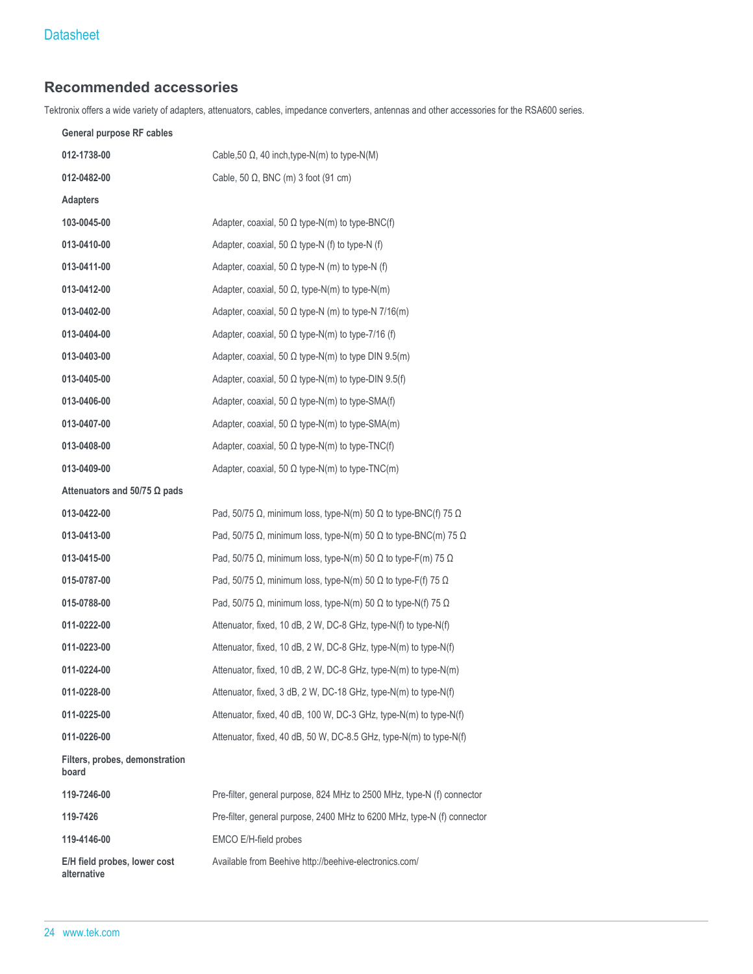# **Recommended accessories**

Tektronix offers a wide variety of adapters, attenuators, cables, impedance converters, antennas and other accessories for the RSA600 series.

| General purpose RF cables                   |                                                                                      |
|---------------------------------------------|--------------------------------------------------------------------------------------|
| 012-1738-00                                 | Cable, 50 $\Omega$ , 40 inch, type-N(m) to type-N(M)                                 |
| 012-0482-00                                 | Cable, 50 $\Omega$ , BNC (m) 3 foot (91 cm)                                          |
| <b>Adapters</b>                             |                                                                                      |
| 103-0045-00                                 | Adapter, coaxial, 50 $\Omega$ type-N(m) to type-BNC(f)                               |
| 013-0410-00                                 | Adapter, coaxial, 50 $\Omega$ type-N (f) to type-N (f)                               |
| 013-0411-00                                 | Adapter, coaxial, 50 $\Omega$ type-N (m) to type-N (f)                               |
| 013-0412-00                                 | Adapter, coaxial, 50 $\Omega$ , type-N(m) to type-N(m)                               |
| 013-0402-00                                 | Adapter, coaxial, 50 $\Omega$ type-N (m) to type-N 7/16(m)                           |
| 013-0404-00                                 | Adapter, coaxial, 50 $\Omega$ type-N(m) to type-7/16 (f)                             |
| 013-0403-00                                 | Adapter, coaxial, 50 $\Omega$ type-N(m) to type DIN 9.5(m)                           |
| 013-0405-00                                 | Adapter, coaxial, 50 $\Omega$ type-N(m) to type-DIN 9.5(f)                           |
| 013-0406-00                                 | Adapter, coaxial, 50 $\Omega$ type-N(m) to type-SMA(f)                               |
| 013-0407-00                                 | Adapter, coaxial, 50 $\Omega$ type-N(m) to type-SMA(m)                               |
| 013-0408-00                                 | Adapter, coaxial, 50 $\Omega$ type-N(m) to type-TNC(f)                               |
| 013-0409-00                                 | Adapter, coaxial, 50 $\Omega$ type-N(m) to type-TNC(m)                               |
| Attenuators and 50/75 $\Omega$ pads         |                                                                                      |
| 013-0422-00                                 | Pad, 50/75 $\Omega$ , minimum loss, type-N(m) 50 $\Omega$ to type-BNC(f) 75 $\Omega$ |
| 013-0413-00                                 | Pad, 50/75 $\Omega$ , minimum loss, type-N(m) 50 $\Omega$ to type-BNC(m) 75 $\Omega$ |
| 013-0415-00                                 | Pad, 50/75 $\Omega$ , minimum loss, type-N(m) 50 $\Omega$ to type-F(m) 75 $\Omega$   |
| 015-0787-00                                 | Pad, 50/75 $\Omega$ , minimum loss, type-N(m) 50 $\Omega$ to type-F(f) 75 $\Omega$   |
| 015-0788-00                                 | Pad, 50/75 $\Omega$ , minimum loss, type-N(m) 50 $\Omega$ to type-N(f) 75 $\Omega$   |
| 011-0222-00                                 | Attenuator, fixed, 10 dB, 2 W, DC-8 GHz, type-N(f) to type-N(f)                      |
| 011-0223-00                                 | Attenuator, fixed, 10 dB, 2 W, DC-8 GHz, type-N(m) to type-N(f)                      |
| 011-0224-00                                 | Attenuator, fixed, 10 dB, 2 W, DC-8 GHz, type-N(m) to type-N(m)                      |
| 011-0228-00                                 | Attenuator, fixed, 3 dB, 2 W, DC-18 GHz, type-N(m) to type-N(f)                      |
| 011-0225-00                                 | Attenuator, fixed, 40 dB, 100 W, DC-3 GHz, type-N(m) to type-N(f)                    |
| 011-0226-00                                 | Attenuator, fixed, 40 dB, 50 W, DC-8.5 GHz, type-N(m) to type-N(f)                   |
| Filters, probes, demonstration<br>board     |                                                                                      |
| 119-7246-00                                 | Pre-filter, general purpose, 824 MHz to 2500 MHz, type-N (f) connector               |
| 119-7426                                    | Pre-filter, general purpose, 2400 MHz to 6200 MHz, type-N (f) connector              |
| 119-4146-00                                 | EMCO E/H-field probes                                                                |
| E/H field probes, lower cost<br>alternative | Available from Beehive http://beehive-electronics.com/                               |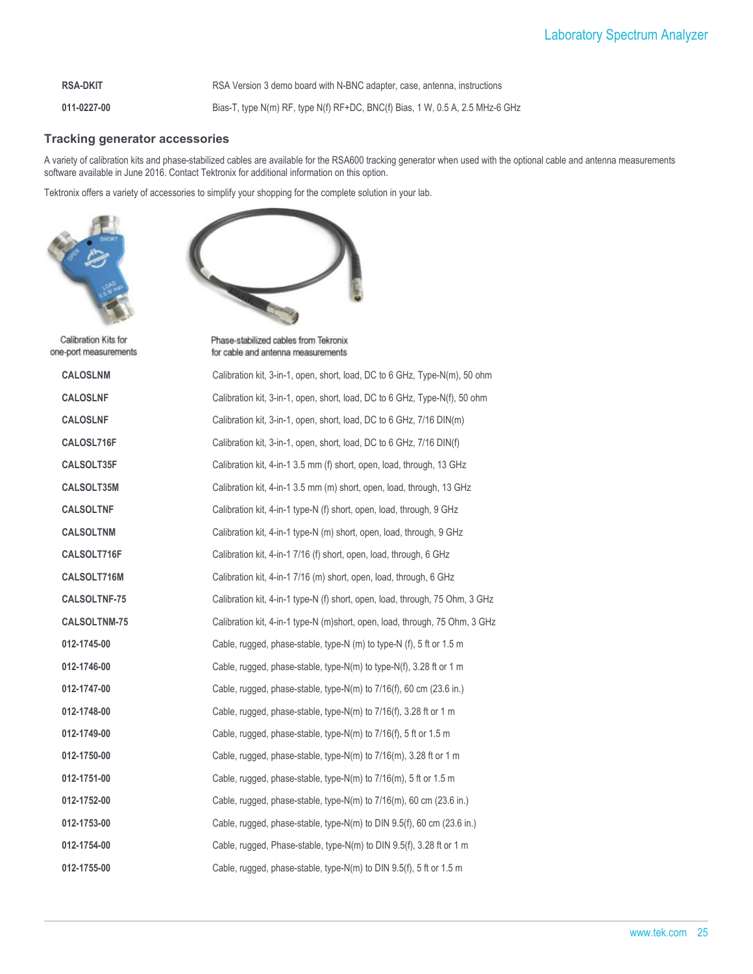**RSA-DKIT** RSA Version 3 demo board with N-BNC adapter, case, antenna, instructions

**011-0227-00** Bias-T, type N(m) RF, type N(f) RF+DC, BNC(f) Bias, 1 W, 0.5 A, 2.5 MHz-6 GHz

#### **Tracking generator accessories**

A variety of calibration kits and phase-stabilized cables are available for the RSA600 tracking generator when used with the optional cable and antenna measurements software available in June 2016. Contact Tektronix for additional information on this option.

Tektronix offers a variety of accessories to simplify your shopping for the complete solution in your lab.





Calibration Kits for one-port measurements

Phase-stabilized cables from Tekronix for cable and antenna measurements

| <b>CALOSLNM</b>     | Calibration kit, 3-in-1, open, short, load, DC to 6 GHz, Type-N(m), 50 ohm   |
|---------------------|------------------------------------------------------------------------------|
| <b>CALOSLNF</b>     | Calibration kit, 3-in-1, open, short, load, DC to 6 GHz, Type-N(f), 50 ohm   |
| <b>CALOSLNF</b>     | Calibration kit, 3-in-1, open, short, load, DC to 6 GHz, 7/16 DIN(m)         |
| CALOSL716F          | Calibration kit, 3-in-1, open, short, load, DC to 6 GHz, 7/16 DIN(f)         |
| CALSOLT35F          | Calibration kit, 4-in-1 3.5 mm (f) short, open, load, through, 13 GHz        |
| CALSOLT35M          | Calibration kit, 4-in-1 3.5 mm (m) short, open, load, through, 13 GHz        |
| <b>CALSOLTNF</b>    | Calibration kit, 4-in-1 type-N (f) short, open, load, through, 9 GHz         |
| <b>CALSOLTNM</b>    | Calibration kit, 4-in-1 type-N (m) short, open, load, through, 9 GHz         |
| CALSOLT716F         | Calibration kit, 4-in-1 7/16 (f) short, open, load, through, 6 GHz           |
| CALSOLT716M         | Calibration kit, 4-in-1 7/16 (m) short, open, load, through, 6 GHz           |
| <b>CALSOLTNF-75</b> | Calibration kit, 4-in-1 type-N (f) short, open, load, through, 75 Ohm, 3 GHz |
| <b>CALSOLTNM-75</b> | Calibration kit, 4-in-1 type-N (m)short, open, load, through, 75 Ohm, 3 GHz  |
| 012-1745-00         | Cable, rugged, phase-stable, type-N (m) to type-N (f), 5 ft or 1.5 m         |
| 012-1746-00         | Cable, rugged, phase-stable, type-N(m) to type-N(f), 3.28 ft or 1 m          |
| 012-1747-00         | Cable, rugged, phase-stable, type-N(m) to $7/16(f)$ , 60 cm $(23.6$ in.)     |
| 012-1748-00         | Cable, rugged, phase-stable, type-N(m) to $7/16(f)$ , 3.28 ft or 1 m         |
| 012-1749-00         | Cable, rugged, phase-stable, type-N(m) to 7/16(f), 5 ft or 1.5 m             |
| 012-1750-00         | Cable, rugged, phase-stable, type-N(m) to $7/16$ (m), 3.28 ft or 1 m         |
| 012-1751-00         | Cable, rugged, phase-stable, type-N(m) to $7/16$ (m), 5 ft or 1.5 m          |
| 012-1752-00         | Cable, rugged, phase-stable, type-N(m) to $7/16$ (m), 60 cm (23.6 in.)       |
| 012-1753-00         | Cable, rugged, phase-stable, type-N(m) to DIN 9.5(f), 60 cm (23.6 in.)       |
| 012-1754-00         | Cable, rugged, Phase-stable, type-N(m) to DIN 9.5(f), 3.28 ft or 1 m         |
| 012-1755-00         | Cable, rugged, phase-stable, type-N(m) to DIN 9.5(f), 5 ft or 1.5 m          |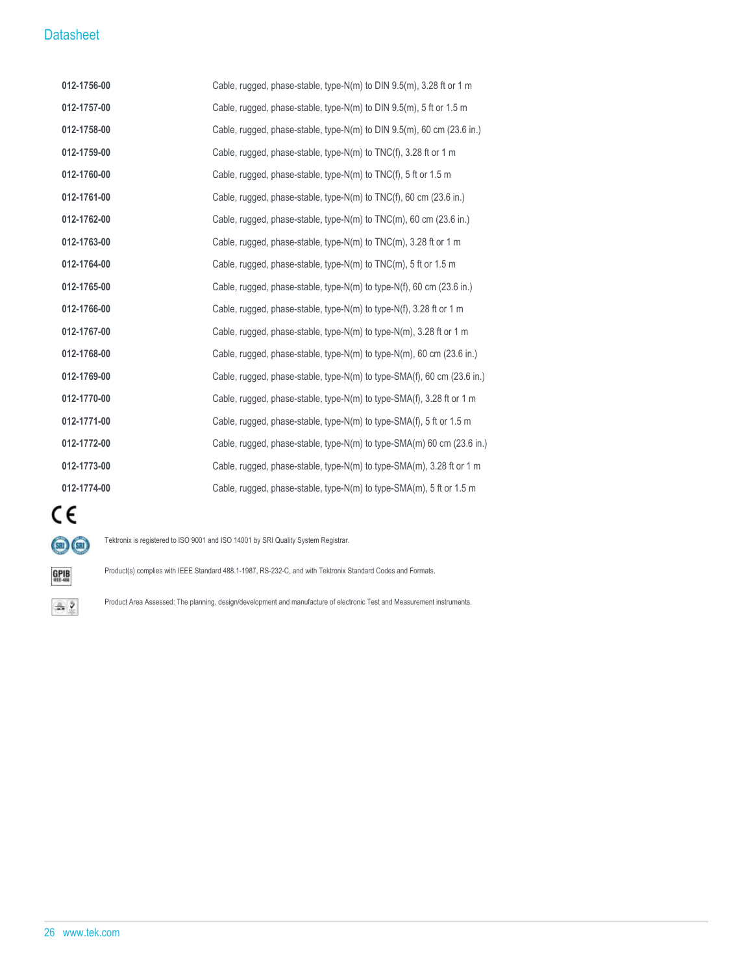| 012-1756-00 | Cable, rugged, phase-stable, type-N(m) to DIN $9.5(m)$ , 3.28 ft or 1 m   |
|-------------|---------------------------------------------------------------------------|
| 012-1757-00 | Cable, rugged, phase-stable, type-N(m) to DIN 9.5(m), 5 ft or 1.5 m       |
| 012-1758-00 | Cable, rugged, phase-stable, type-N(m) to DIN $9.5(m)$ , 60 cm (23.6 in.) |
| 012-1759-00 | Cable, rugged, phase-stable, type-N(m) to TNC(f), 3.28 ft or 1 m          |
| 012-1760-00 | Cable, rugged, phase-stable, type-N(m) to $TNC(f)$ , 5 ft or 1.5 m        |
| 012-1761-00 | Cable, rugged, phase-stable, type-N(m) to $TNC(f)$ , 60 cm (23.6 in.)     |
| 012-1762-00 | Cable, rugged, phase-stable, type-N(m) to $TNC(m)$ , 60 cm (23.6 in.)     |
| 012-1763-00 | Cable, rugged, phase-stable, type-N(m) to TNC(m), 3.28 ft or 1 m          |
| 012-1764-00 | Cable, rugged, phase-stable, type-N(m) to $TNC(m)$ , 5 ft or 1.5 m        |
| 012-1765-00 | Cable, rugged, phase-stable, type-N(m) to type-N(f), 60 cm (23.6 in.)     |
| 012-1766-00 | Cable, rugged, phase-stable, type-N(m) to type-N(f), 3.28 ft or 1 m       |
| 012-1767-00 | Cable, rugged, phase-stable, type-N(m) to type-N(m), 3.28 ft or 1 m       |
| 012-1768-00 | Cable, rugged, phase-stable, type-N(m) to type-N(m), 60 cm (23.6 in.)     |
| 012-1769-00 | Cable, rugged, phase-stable, type-N(m) to type-SMA(f), 60 cm (23.6 in.)   |
| 012-1770-00 | Cable, rugged, phase-stable, type-N(m) to type-SMA(f), 3.28 ft or 1 m     |
| 012-1771-00 | Cable, rugged, phase-stable, type-N(m) to type-SMA(f), 5 ft or 1.5 m      |
| 012-1772-00 | Cable, rugged, phase-stable, type-N(m) to type-SMA(m) 60 cm (23.6 in.)    |
| 012-1773-00 | Cable, rugged, phase-stable, type-N(m) to type-SMA(m), 3.28 ft or 1 m     |
| 012-1774-00 | Cable, rugged, phase-stable, type-N(m) to type-SMA(m), 5 ft or 1.5 m      |



Tektronix is registered to ISO 9001 and ISO 14001 by SRI Quality System Registrar.

 $\underset{\scriptscriptstyle{\text{eff}-488}}{\text{GPIB}}$ 

 $\triangle$  2

Product(s) complies with IEEE Standard 488.1-1987, RS-232-C, and with Tektronix Standard Codes and Formats.

Product Area Assessed: The planning, design/development and manufacture of electronic Test and Measurement instruments.